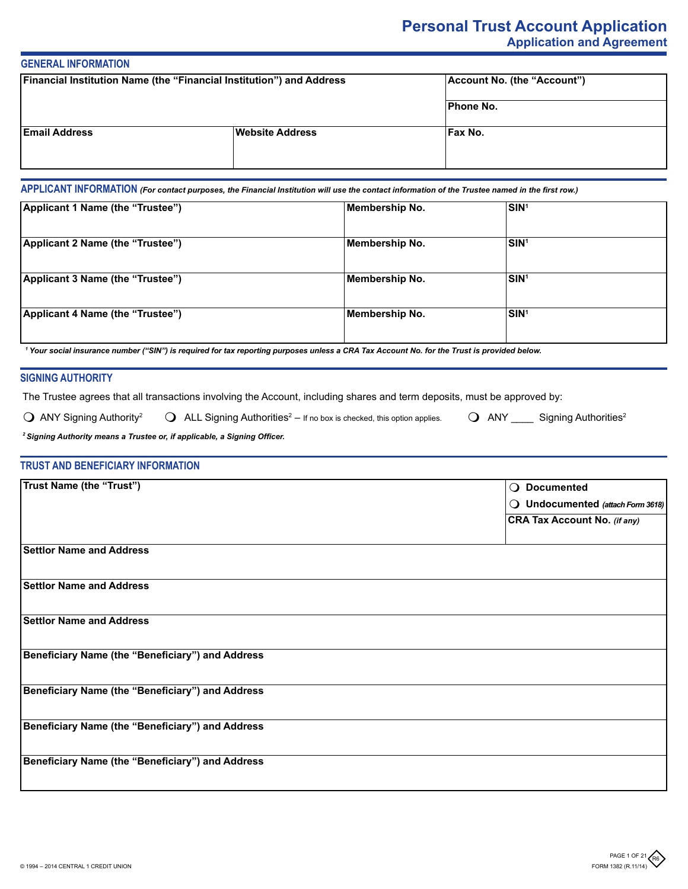# **Personal Trust Account Application Application and Agreement**

# **GENERAL INFORMATION**

| Financial Institution Name (the "Financial Institution") and Address |                        | Account No. (the "Account") |  |
|----------------------------------------------------------------------|------------------------|-----------------------------|--|
|                                                                      |                        | <b>Phone No.</b>            |  |
| <b>Email Address</b>                                                 | <b>Website Address</b> | Fax No.                     |  |

**APPLICANT INFORMATION** *(For contact purposes, the Financial Institution will use the contact information of the Trustee named in the first row.)*

| Applicant 1 Name (the "Trustee") | Membership No. | SIN <sup>1</sup> |  |
|----------------------------------|----------------|------------------|--|
| Applicant 2 Name (the "Trustee") | Membership No. | SIN <sup>1</sup> |  |
| Applicant 3 Name (the "Trustee") | Membership No. | SIN <sup>1</sup> |  |
| Applicant 4 Name (the "Trustee") | Membership No. | SIN <sup>1</sup> |  |

*1 Your social insurance number ("SIN") is required for tax reporting purposes unless a CRA Tax Account No. for the Trust is provided below.*

# **SIGNING AUTHORITY**

The Trustee agrees that all transactions involving the Account, including shares and term deposits, must be approved by:

 $\bigcirc$  ANY Signing Authority<sup>2</sup>  $\bigcirc$  ALL Signing Authorities<sup>2</sup> – If no box is checked, this option applies.

 $\bigcirc$  ANY \_\_\_\_\_ Signing Authorities<sup>2</sup>

*<sup>2</sup>Signing Authority means a Trustee or, if applicable, a Signing Officer.*

# **TRUST AND BENEFICIARY INFORMATION**

| <b>Trust Name (the "Trust")</b>                  | $\bigcirc$ Documented               |
|--------------------------------------------------|-------------------------------------|
|                                                  | O Undocumented (attach Form 3618)   |
|                                                  | <b>CRA Tax Account No. (if any)</b> |
|                                                  |                                     |
| <b>Settlor Name and Address</b>                  |                                     |
|                                                  |                                     |
| <b>Settlor Name and Address</b>                  |                                     |
|                                                  |                                     |
| <b>Settlor Name and Address</b>                  |                                     |
|                                                  |                                     |
| Beneficiary Name (the "Beneficiary") and Address |                                     |
|                                                  |                                     |
| Beneficiary Name (the "Beneficiary") and Address |                                     |
|                                                  |                                     |
| Beneficiary Name (the "Beneficiary") and Address |                                     |
|                                                  |                                     |
| Beneficiary Name (the "Beneficiary") and Address |                                     |
|                                                  |                                     |
|                                                  |                                     |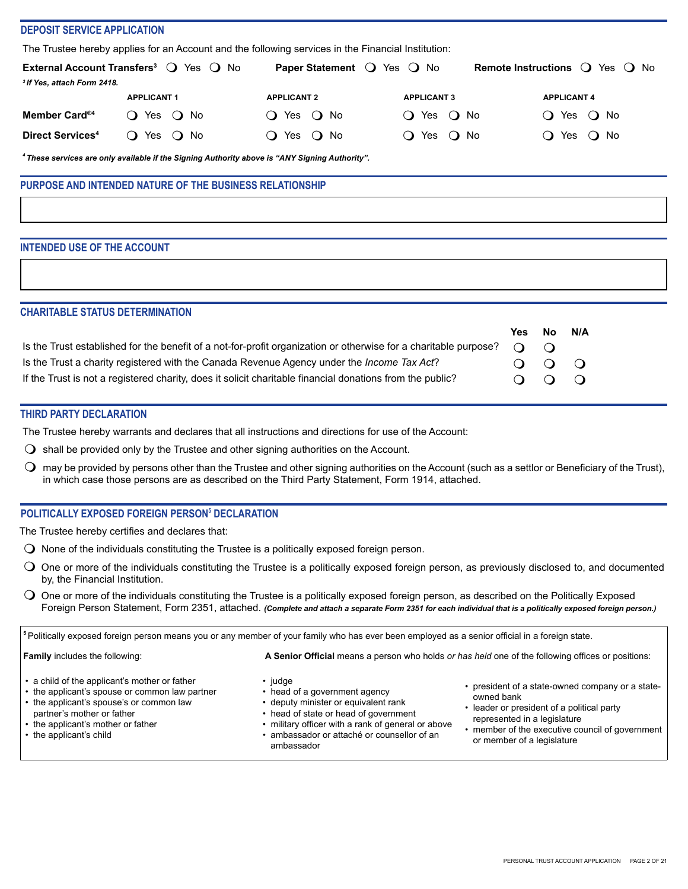#### **DEPOSIT SERVICE APPLICATION**

The Trustee hereby applies for an Account and the following services in the Financial Institution:

|                                        | <b>External Account Transfers</b> <sup>3</sup> $\bigcirc$ Yes $\bigcirc$ No | <b>Paper Statement</b> $\bigcirc$ Yes $\bigcirc$ No |                               | <b>Remote Instructions</b> $\bigcirc$ Yes $\bigcirc$ No |
|----------------------------------------|-----------------------------------------------------------------------------|-----------------------------------------------------|-------------------------------|---------------------------------------------------------|
| <sup>3</sup> If Yes, attach Form 2418. |                                                                             |                                                     |                               |                                                         |
|                                        | <b>APPLICANT 1</b>                                                          | <b>APPLICANT 2</b>                                  | <b>APPLICANT 3</b>            | <b>APPLICANT 4</b>                                      |
| Member Card <sup>®4</sup>              | Yes $\bigcirc$ No<br>$\lambda$                                              | Yes $\bigcirc$ No<br>$\ddot{\phantom{0}}$           | Yes $\bigcirc$ No<br>$\Omega$ | $\bigcirc$ Yes $\bigcirc$ No                            |
| <b>Direct Services<sup>4</sup></b>     | Yes<br>No<br>$\Omega$                                                       | $\bigcirc$ No<br>Yes                                | Yes<br>() No                  | Yes<br>○ No                                             |

*<sup>4</sup>These services are only available if the Signing Authority above is "ANY Signing Authority".*

# **PURPOSE AND INTENDED NATURE OF THE BUSINESS RELATIONSHIP**

# **INTENDED USE OF THE ACCOUNT**

| <b>CHARITABLE STATUS DETERMINATION</b>                                                                           |          |                            |     |
|------------------------------------------------------------------------------------------------------------------|----------|----------------------------|-----|
|                                                                                                                  | Yes.     | No.                        | N/A |
| Is the Trust established for the benefit of a not-for-profit organization or otherwise for a charitable purpose? | $\Omega$ | $\bigcap$                  |     |
| Is the Trust a charity registered with the Canada Revenue Agency under the Income Tax Act?                       |          | $\Omega$ $\Omega$ $\Omega$ |     |
| If the Trust is not a registered charity, does it solicit charitable financial donations from the public?        |          | $O$ $O$ $O$                |     |

# **THIRD PARTY DECLARATION**

The Trustee hereby warrants and declares that all instructions and directions for use of the Account:

- $\bigcirc$  shall be provided only by the Trustee and other signing authorities on the Account.
- $\bigcirc$  may be provided by persons other than the Trustee and other signing authorities on the Account (such as a settlor or Beneficiary of the Trust), in which case those persons are as described on the Third Party Statement, Form 1914, attached.

# **POLITICALLY EXPOSED FOREIGN PERSON5 DECLARATION**

The Trustee hereby certifies and declares that:

- $\bigcirc$  None of the individuals constituting the Trustee is a politically exposed foreign person.
- O One or more of the individuals constituting the Trustee is a politically exposed foreign person, as previously disclosed to, and documented by, the Financial Institution.
- $\bigcirc$  One or more of the individuals constituting the Trustee is a politically exposed foreign person, as described on the Politically Exposed Foreign Person Statement, Form 2351, attached. *(Complete and attach a separate Form 2351 for each individual that is a politically exposed foreign person.)*

**<sup>5</sup>**Politically exposed foreign person means you or any member of your family who has ever been employed as a senior official in a foreign state.

#### **Family** includes the following: **A Senior Official** means a person who holds *or has held* one of the following offices or positions:

- a child of the applicant's mother or father
- the applicant's spouse or common law partner
- the applicant's spouse's or common law
- partner's mother or father • the applicant's mother or father
- 
- the applicant's child
- judge
- head of a government agency
- deputy minister or equivalent rank
- head of state or head of government
- military officer with a rank of general or above • ambassador or attaché or counsellor of an ambassador
- president of a state-owned company or a stateowned bank
- leader or president of a political party represented in a legislature
- member of the executive council of government or member of a legislature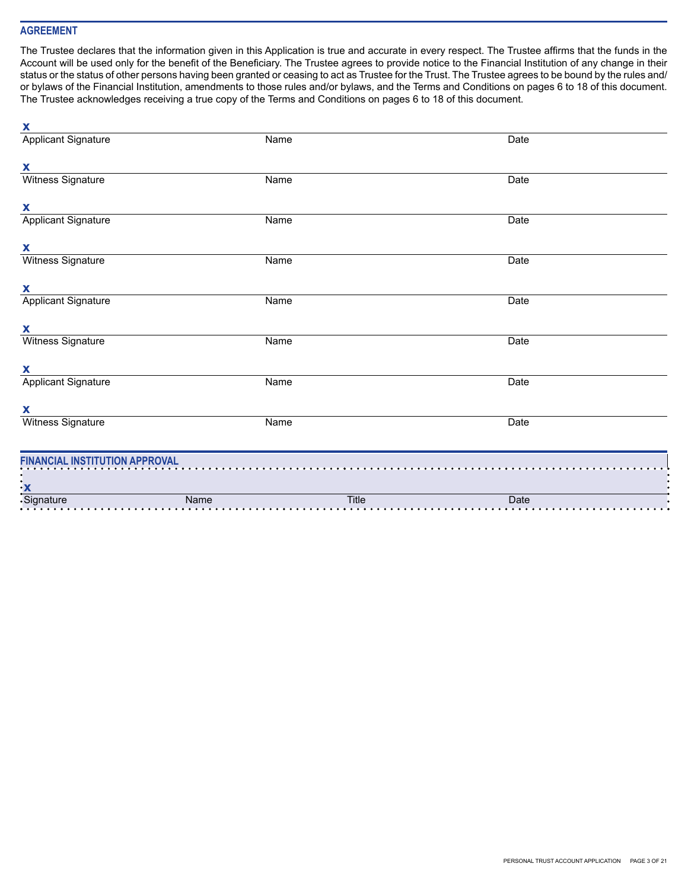# **AGREEMENT**

The Trustee declares that the information given in this Application is true and accurate in every respect. The Trustee affirms that the funds in the Account will be used only for the benefit of the Beneficiary. The Trustee agrees to provide notice to the Financial Institution of any change in their status or the status of other persons having been granted or ceasing to act as Trustee for the Trust. The Trustee agrees to be bound by the rules and/ or bylaws of the Financial Institution, amendments to those rules and/or bylaws, and the Terms and Conditions on pages 6 to 18 of this document. The Trustee acknowledges receiving a true copy of the Terms and Conditions on pages 6 to 18 of this document.

| X                                     |                                                                                                                                                                                                                                                                                                                                                                                                                                                                                                                                                                                |              |      |
|---------------------------------------|--------------------------------------------------------------------------------------------------------------------------------------------------------------------------------------------------------------------------------------------------------------------------------------------------------------------------------------------------------------------------------------------------------------------------------------------------------------------------------------------------------------------------------------------------------------------------------|--------------|------|
| <b>Applicant Signature</b>            | Name                                                                                                                                                                                                                                                                                                                                                                                                                                                                                                                                                                           |              | Date |
|                                       |                                                                                                                                                                                                                                                                                                                                                                                                                                                                                                                                                                                |              |      |
| X                                     |                                                                                                                                                                                                                                                                                                                                                                                                                                                                                                                                                                                |              |      |
| Witness Signature                     | Name                                                                                                                                                                                                                                                                                                                                                                                                                                                                                                                                                                           |              | Date |
| X                                     |                                                                                                                                                                                                                                                                                                                                                                                                                                                                                                                                                                                |              |      |
| <b>Applicant Signature</b>            | Name                                                                                                                                                                                                                                                                                                                                                                                                                                                                                                                                                                           |              | Date |
| X                                     |                                                                                                                                                                                                                                                                                                                                                                                                                                                                                                                                                                                |              |      |
| Witness Signature                     | Name                                                                                                                                                                                                                                                                                                                                                                                                                                                                                                                                                                           |              | Date |
| X                                     |                                                                                                                                                                                                                                                                                                                                                                                                                                                                                                                                                                                |              |      |
| <b>Applicant Signature</b>            | Name                                                                                                                                                                                                                                                                                                                                                                                                                                                                                                                                                                           |              | Date |
| X                                     |                                                                                                                                                                                                                                                                                                                                                                                                                                                                                                                                                                                |              |      |
| <b>Witness Signature</b>              | Name                                                                                                                                                                                                                                                                                                                                                                                                                                                                                                                                                                           |              | Date |
| X                                     |                                                                                                                                                                                                                                                                                                                                                                                                                                                                                                                                                                                |              |      |
| <b>Applicant Signature</b>            | Name                                                                                                                                                                                                                                                                                                                                                                                                                                                                                                                                                                           |              | Date |
| X                                     |                                                                                                                                                                                                                                                                                                                                                                                                                                                                                                                                                                                |              |      |
| Witness Signature                     | Name                                                                                                                                                                                                                                                                                                                                                                                                                                                                                                                                                                           |              | Date |
|                                       |                                                                                                                                                                                                                                                                                                                                                                                                                                                                                                                                                                                |              |      |
| <b>FINANCIAL INSTITUTION APPROVAL</b> |                                                                                                                                                                                                                                                                                                                                                                                                                                                                                                                                                                                |              |      |
|                                       |                                                                                                                                                                                                                                                                                                                                                                                                                                                                                                                                                                                |              |      |
|                                       | $\begin{array}{c}\n\cdot \mathbf{x} \\ \cdot \mathbf{Signature} \\ \cdot \mathbf{Signature} \\ \cdot \mathbf{Signature} \\ \cdot \mathbf{Signature} \\ \cdot \mathbf{Signature} \\ \cdot \mathbf{Signature} \\ \cdot \mathbf{Signature} \\ \cdot \mathbf{Signature} \\ \cdot \mathbf{Signature} \\ \cdot \mathbf{Signature} \\ \cdot \mathbf{Signature} \\ \cdot \mathbf{Signature} \\ \cdot \mathbf{Signature} \\ \cdot \mathbf{Signature} \\ \cdot \mathbf{Signature} \\ \cdot \mathbf{Signature} \\ \cdot \mathbf{Signature} \\ \cdot \mathbf{Signature} \\ \cdot \mathbf{$ | <b>Title</b> | Date |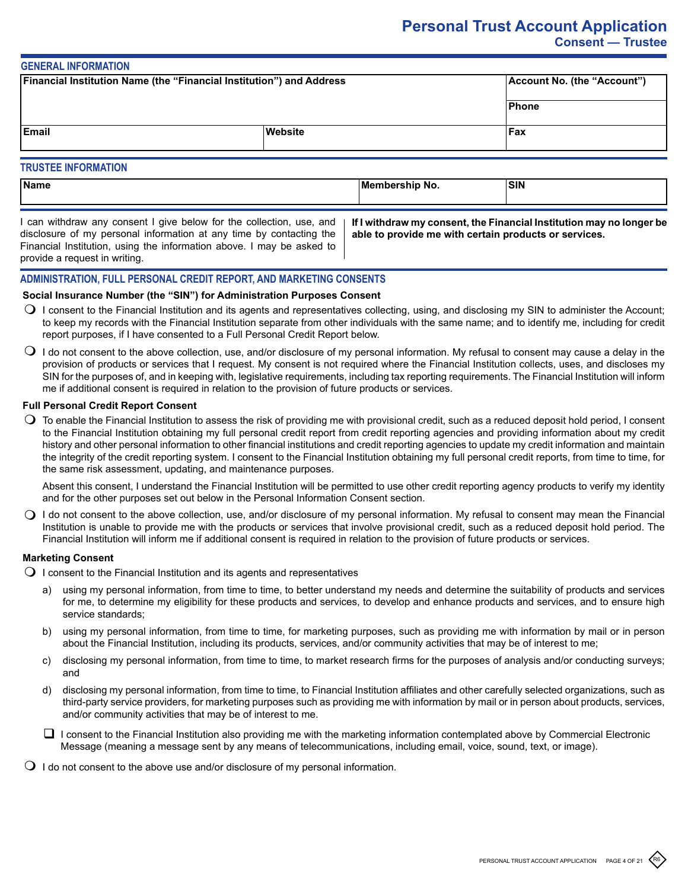# **Personal Trust Account Application Consent — Trustee**

#### **GENERAL INFORMATION**

| Financial Institution Name (the "Financial Institution") and Address |         | Account No. (the "Account") |  |
|----------------------------------------------------------------------|---------|-----------------------------|--|
|                                                                      |         | <b>Phone</b>                |  |
| <b>Email</b>                                                         | Website | Fax                         |  |
| <b>TRUSTEE INFORMATION</b>                                           |         |                             |  |

# **Name Membership No. SIN**

I can withdraw any consent I give below for the collection, use, and disclosure of my personal information at any time by contacting the Financial Institution, using the information above. I may be asked to provide a request in writing.

**If I withdraw my consent, the Financial Institution may no longer be able to provide me with certain products or services.**

# **ADMINISTRATION, FULL PERSONAL CREDIT REPORT, AND MARKETING CONSENTS**

# **Social Insurance Number (the "SIN") for Administration Purposes Consent**

- $\bigcirc$  I consent to the Financial Institution and its agents and representatives collecting, using, and disclosing my SIN to administer the Account; to keep my records with the Financial Institution separate from other individuals with the same name; and to identify me, including for credit report purposes, if I have consented to a Full Personal Credit Report below.
- $\bigcirc$  I do not consent to the above collection, use, and/or disclosure of my personal information. My refusal to consent may cause a delay in the provision of products or services that I request. My consent is not required where the Financial Institution collects, uses, and discloses my SIN for the purposes of, and in keeping with, legislative requirements, including tax reporting requirements. The Financial Institution will inform me if additional consent is required in relation to the provision of future products or services.

# **Full Personal Credit Report Consent**

 $\bigcirc$  To enable the Financial Institution to assess the risk of providing me with provisional credit, such as a reduced deposit hold period, I consent to the Financial Institution obtaining my full personal credit report from credit reporting agencies and providing information about my credit history and other personal information to other financial institutions and credit reporting agencies to update my credit information and maintain the integrity of the credit reporting system. I consent to the Financial Institution obtaining my full personal credit reports, from time to time, for the same risk assessment, updating, and maintenance purposes.

Absent this consent, I understand the Financial Institution will be permitted to use other credit reporting agency products to verify my identity and for the other purposes set out below in the Personal Information Consent section.

 $\bigcirc$  I do not consent to the above collection, use, and/or disclosure of my personal information. My refusal to consent may mean the Financial Institution is unable to provide me with the products or services that involve provisional credit, such as a reduced deposit hold period. The Financial Institution will inform me if additional consent is required in relation to the provision of future products or services.

# **Marketing Consent**

- $\Omega$  I consent to the Financial Institution and its agents and representatives
	- a) using my personal information, from time to time, to better understand my needs and determine the suitability of products and services for me, to determine my eligibility for these products and services, to develop and enhance products and services, and to ensure high service standards;
	- b) using my personal information, from time to time, for marketing purposes, such as providing me with information by mail or in person about the Financial Institution, including its products, services, and/or community activities that may be of interest to me;
	- c) disclosing my personal information, from time to time, to market research firms for the purposes of analysis and/or conducting surveys; and
	- d) disclosing my personal information, from time to time, to Financial Institution affiliates and other carefully selected organizations, such as third-party service providers, for marketing purposes such as providing me with information by mail or in person about products, services, and/or community activities that may be of interest to me.
	- $\Box$  I consent to the Financial Institution also providing me with the marketing information contemplated above by Commercial Electronic Message (meaning a message sent by any means of telecommunications, including email, voice, sound, text, or image).
- $\bigcirc$  I do not consent to the above use and/or disclosure of my personal information.

R6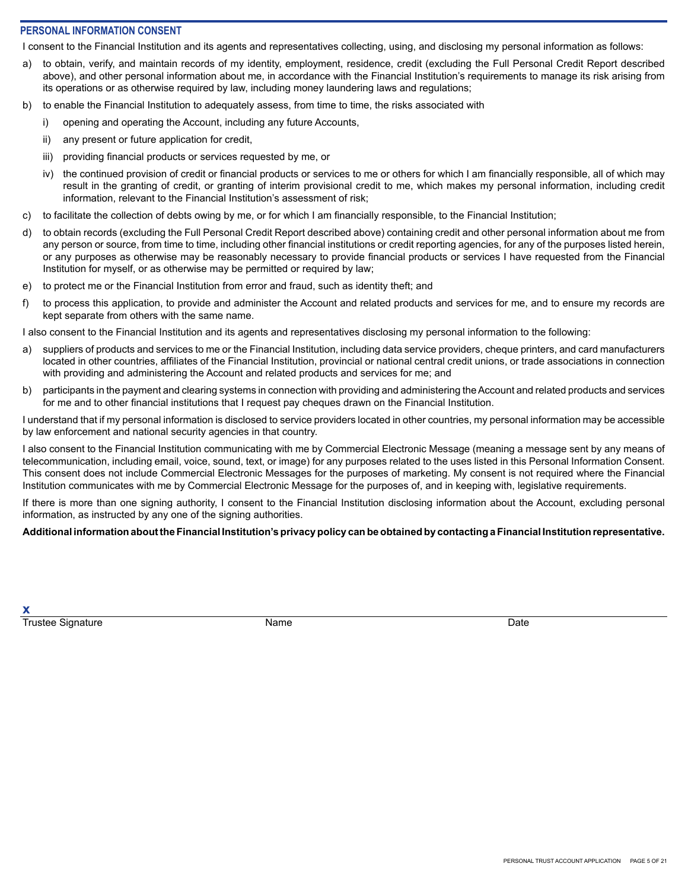# **PERSONAL INFORMATION CONSENT**

I consent to the Financial Institution and its agents and representatives collecting, using, and disclosing my personal information as follows:

- a) to obtain, verify, and maintain records of my identity, employment, residence, credit (excluding the Full Personal Credit Report described above), and other personal information about me, in accordance with the Financial Institution's requirements to manage its risk arising from its operations or as otherwise required by law, including money laundering laws and regulations;
- b) to enable the Financial Institution to adequately assess, from time to time, the risks associated with
	- i) opening and operating the Account, including any future Accounts,
	- ii) any present or future application for credit,
	- iii) providing financial products or services requested by me, or
	- iv) the continued provision of credit or financial products or services to me or others for which I am financially responsible, all of which may result in the granting of credit, or granting of interim provisional credit to me, which makes my personal information, including credit information, relevant to the Financial Institution's assessment of risk;
- c) to facilitate the collection of debts owing by me, or for which I am financially responsible, to the Financial Institution;
- d) to obtain records (excluding the Full Personal Credit Report described above) containing credit and other personal information about me from any person or source, from time to time, including other financial institutions or credit reporting agencies, for any of the purposes listed herein, or any purposes as otherwise may be reasonably necessary to provide financial products or services I have requested from the Financial Institution for myself, or as otherwise may be permitted or required by law;
- e) to protect me or the Financial Institution from error and fraud, such as identity theft; and
- f) to process this application, to provide and administer the Account and related products and services for me, and to ensure my records are kept separate from others with the same name.

I also consent to the Financial Institution and its agents and representatives disclosing my personal information to the following:

- a) suppliers of products and services to me or the Financial Institution, including data service providers, cheque printers, and card manufacturers located in other countries, affiliates of the Financial Institution, provincial or national central credit unions, or trade associations in connection with providing and administering the Account and related products and services for me; and
- b) participants in the payment and clearing systems in connection with providing and administering the Account and related products and services for me and to other financial institutions that I request pay cheques drawn on the Financial Institution.

I understand that if my personal information is disclosed to service providers located in other countries, my personal information may be accessible by law enforcement and national security agencies in that country.

I also consent to the Financial Institution communicating with me by Commercial Electronic Message (meaning a message sent by any means of telecommunication, including email, voice, sound, text, or image) for any purposes related to the uses listed in this Personal Information Consent. This consent does not include Commercial Electronic Messages for the purposes of marketing. My consent is not required where the Financial Institution communicates with me by Commercial Electronic Message for the purposes of, and in keeping with, legislative requirements.

If there is more than one signing authority, I consent to the Financial Institution disclosing information about the Account, excluding personal information, as instructed by any one of the signing authorities.

**Additional information about the Financial Institution's privacy policy can be obtained by contacting a Financial Institution representative.**

**x** Trustee Signature **Name** Name **Name Date** Date **Date Date**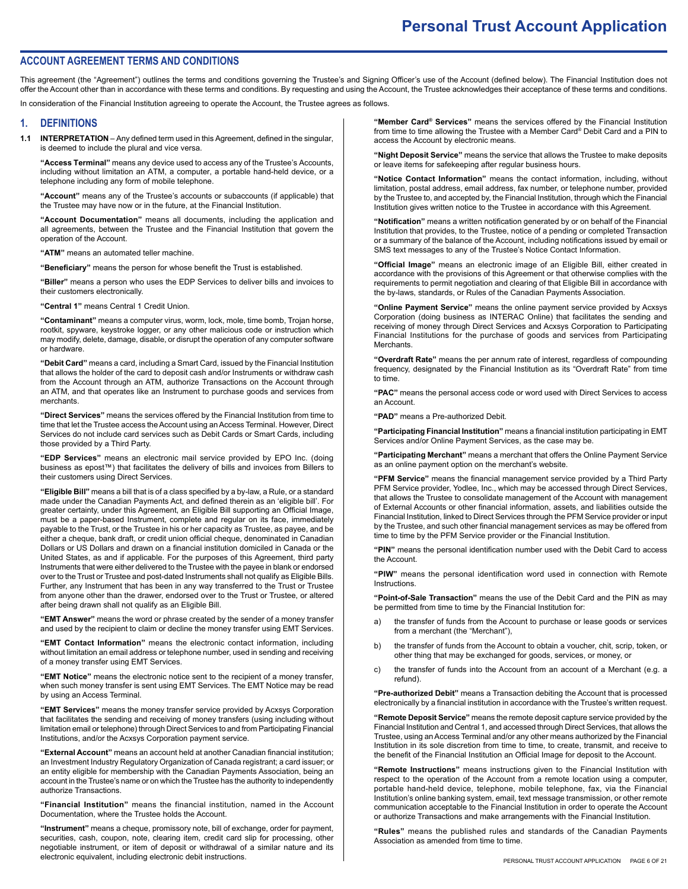# **ACCOUNT AGREEMENT TERMS AND CONDITIONS**

This agreement (the "Agreement") outlines the terms and conditions governing the Trustee's and Signing Officer's use of the Account (defined below). The Financial Institution does not offer the Account other than in accordance with these terms and conditions. By requesting and using the Account, the Trustee acknowledges their acceptance of these terms and conditions.

In consideration of the Financial Institution agreeing to operate the Account, the Trustee agrees as follows.

#### **1. DEFINITIONS**

**1.1 INTERPRETATION** – Any defined term used in this Agreement, defined in the singular, is deemed to include the plural and vice versa.

**"Access Terminal"** means any device used to access any of the Trustee's Accounts, including without limitation an ATM, a computer, a portable hand-held device, or a telephone including any form of mobile telephone.

**"Account"** means any of the Trustee's accounts or subaccounts (if applicable) that the Trustee may have now or in the future, at the Financial Institution.

**"Account Documentation"** means all documents, including the application and all agreements, between the Trustee and the Financial Institution that govern the operation of the Account.

**"ATM"** means an automated teller machine.

**"Beneficiary"** means the person for whose benefit the Trust is established.

**"Biller"** means a person who uses the EDP Services to deliver bills and invoices to their customers electronically.

**"Central 1"** means Central 1 Credit Union.

**"Contaminant"** means a computer virus, worm, lock, mole, time bomb, Trojan horse, rootkit, spyware, keystroke logger, or any other malicious code or instruction which may modify, delete, damage, disable, or disrupt the operation of any computer software or hardware.

**"Debit Card"** means a card, including a Smart Card, issued by the Financial Institution that allows the holder of the card to deposit cash and/or Instruments or withdraw cash from the Account through an ATM, authorize Transactions on the Account through an ATM, and that operates like an Instrument to purchase goods and services from merchants.

**"Direct Services"** means the services offered by the Financial Institution from time to time that let the Trustee access the Account using an Access Terminal. However, Direct Services do not include card services such as Debit Cards or Smart Cards, including those provided by a Third Party.

**"EDP Services"** means an electronic mail service provided by EPO Inc. (doing business as epost™) that facilitates the delivery of bills and invoices from Billers to their customers using Direct Services.

**"Eligible Bill"** means a bill that is of a class specified by a by-law, a Rule, or a standard made under the Canadian Payments Act, and defined therein as an 'eligible bill'. For greater certainty, under this Agreement, an Eligible Bill supporting an Official Image, must be a paper-based Instrument, complete and regular on its face, immediately payable to the Trust, or the Trustee in his or her capacity as Trustee, as payee, and be either a cheque, bank draft, or credit union official cheque, denominated in Canadian Dollars or US Dollars and drawn on a financial institution domiciled in Canada or the United States, as and if applicable. For the purposes of this Agreement, third party Instruments that were either delivered to the Trustee with the payee in blank or endorsed over to the Trust or Trustee and post-dated Instruments shall not qualify as Eligible Bills. Further, any Instrument that has been in any way transferred to the Trust or Trustee from anyone other than the drawer, endorsed over to the Trust or Trustee, or altered after being drawn shall not qualify as an Eligible Bill.

**"EMT Answer"** means the word or phrase created by the sender of a money transfer and used by the recipient to claim or decline the money transfer using EMT Services.

**"EMT Contact Information"** means the electronic contact information, including without limitation an email address or telephone number, used in sending and receiving of a money transfer using EMT Services.

**"EMT Notice"** means the electronic notice sent to the recipient of a money transfer, when such money transfer is sent using EMT Services. The EMT Notice may be read by using an Access Terminal.

**"EMT Services"** means the money transfer service provided by Acxsys Corporation that facilitates the sending and receiving of money transfers (using including without limitation email or telephone) through Direct Services to and from Participating Financial Institutions, and/or the Acxsys Corporation payment service.

**"External Account"** means an account held at another Canadian financial institution; an Investment Industry Regulatory Organization of Canada registrant; a card issuer; or an entity eligible for membership with the Canadian Payments Association, being an account in the Trustee's name or on which the Trustee has the authority to independently authorize Transactions.

**"Financial Institution"** means the financial institution, named in the Account Documentation, where the Trustee holds the Account.

**"Instrument"** means a cheque, promissory note, bill of exchange, order for payment, securities, cash, coupon, note, clearing item, credit card slip for processing, other negotiable instrument, or item of deposit or withdrawal of a similar nature and its electronic equivalent, including electronic debit instructions.

**"Member Card® Services"** means the services offered by the Financial Institution from time to time allowing the Trustee with a Member Card® Debit Card and a PIN to access the Account by electronic means.

**"Night Deposit Service"** means the service that allows the Trustee to make deposits or leave items for safekeeping after regular business hours.

**"Notice Contact Information"** means the contact information, including, without limitation, postal address, email address, fax number, or telephone number, provided by the Trustee to, and accepted by, the Financial Institution, through which the Financial Institution gives written notice to the Trustee in accordance with this Agreement.

**"Notification"** means a written notification generated by or on behalf of the Financial Institution that provides, to the Trustee, notice of a pending or completed Transaction or a summary of the balance of the Account, including notifications issued by email or SMS text messages to any of the Trustee's Notice Contact Information.

**"Official Image"** means an electronic image of an Eligible Bill, either created in accordance with the provisions of this Agreement or that otherwise complies with the requirements to permit negotiation and clearing of that Eligible Bill in accordance with the by-laws, standards, or Rules of the Canadian Payments Association.

**"Online Payment Service"** means the online payment service provided by Acxsys Corporation (doing business as INTERAC Online) that facilitates the sending and receiving of money through Direct Services and Acxsys Corporation to Participating Financial Institutions for the purchase of goods and services from Participating **Merchants** 

**"Overdraft Rate"** means the per annum rate of interest, regardless of compounding frequency, designated by the Financial Institution as its "Overdraft Rate" from time to time.

**"PAC"** means the personal access code or word used with Direct Services to access an Account.

**"PAD"** means a Pre-authorized Debit.

**"Participating Financial Institution"** means a financial institution participating in EMT Services and/or Online Payment Services, as the case may be.

**"Participating Merchant"** means a merchant that offers the Online Payment Service as an online payment option on the merchant's website.

**"PFM Service"** means the financial management service provided by a Third Party PFM Service provider, Yodlee, Inc., which may be accessed through Direct Services, that allows the Trustee to consolidate management of the Account with management of External Accounts or other financial information, assets, and liabilities outside the Financial Institution, linked to Direct Services through the PFM Service provider or input by the Trustee, and such other financial management services as may be offered from time to time by the PFM Service provider or the Financial Institution.

**"PIN"** means the personal identification number used with the Debit Card to access the Account.

**"PIW"** means the personal identification word used in connection with Remote Instructions.

**"Point-of-Sale Transaction"** means the use of the Debit Card and the PIN as may be permitted from time to time by the Financial Institution for:

- a) the transfer of funds from the Account to purchase or lease goods or services from a merchant (the "Merchant"),
- b) the transfer of funds from the Account to obtain a voucher, chit, scrip, token, or other thing that may be exchanged for goods, services, or money, or
- c) the transfer of funds into the Account from an account of a Merchant (e.g. a refund).

**"Pre-authorized Debit"** means a Transaction debiting the Account that is processed electronically by a financial institution in accordance with the Trustee's written request.

**"Remote Deposit Service"** means the remote deposit capture service provided by the Financial Institution and Central 1, and accessed through Direct Services, that allows the Trustee, using an Access Terminal and/or any other means authorized by the Financial Institution in its sole discretion from time to time, to create, transmit, and receive to the benefit of the Financial Institution an Official Image for deposit to the Account.

**"Remote Instructions"** means instructions given to the Financial Institution with respect to the operation of the Account from a remote location using a computer, portable hand-held device, telephone, mobile telephone, fax, via the Financial Institution's online banking system, email, text message transmission, or other remote communication acceptable to the Financial Institution in order to operate the Account or authorize Transactions and make arrangements with the Financial Institution.

**"Rules"** means the published rules and standards of the Canadian Payments Association as amended from time to time.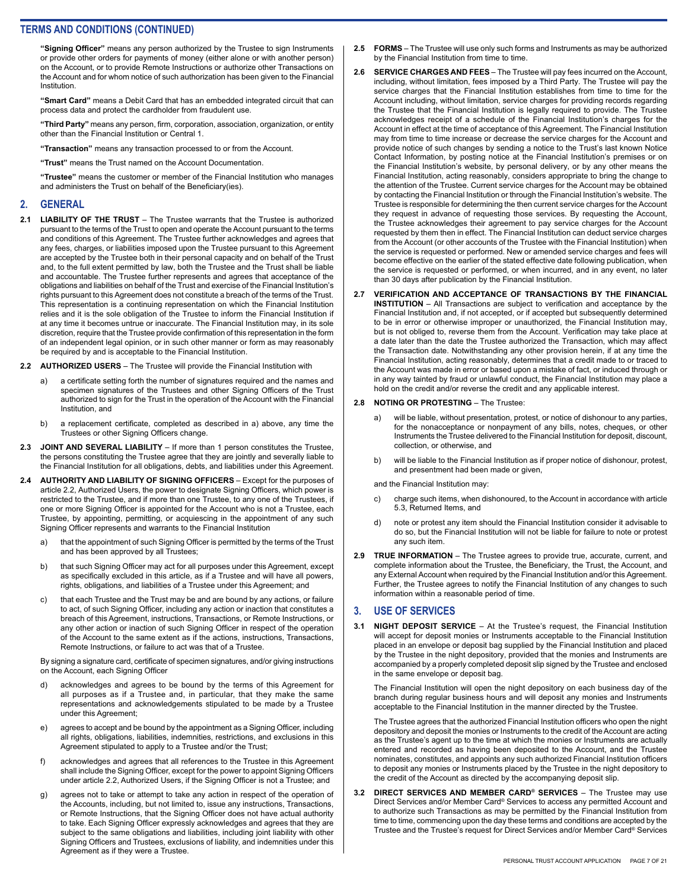**"Signing Officer"** means any person authorized by the Trustee to sign Instruments or provide other orders for payments of money (either alone or with another person) on the Account, or to provide Remote Instructions or authorize other Transactions on the Account and for whom notice of such authorization has been given to the Financial Institution.

**"Smart Card"** means a Debit Card that has an embedded integrated circuit that can process data and protect the cardholder from fraudulent use.

**"Third Party"** means any person, firm, corporation, association, organization, or entity other than the Financial Institution or Central 1.

**"Transaction"** means any transaction processed to or from the Account.

**"Trust"** means the Trust named on the Account Documentation.

**"Trustee"** means the customer or member of the Financial Institution who manages and administers the Trust on behalf of the Beneficiary(ies).

#### **2. GENERAL**

- **2.1 LIABILITY OF THE TRUST**  The Trustee warrants that the Trustee is authorized pursuant to the terms of the Trust to open and operate the Account pursuant to the terms and conditions of this Agreement. The Trustee further acknowledges and agrees that any fees, charges, or liabilities imposed upon the Trustee pursuant to this Agreement are accepted by the Trustee both in their personal capacity and on behalf of the Trust and, to the full extent permitted by law, both the Trustee and the Trust shall be liable and accountable. The Trustee further represents and agrees that acceptance of the obligations and liabilities on behalf of the Trust and exercise of the Financial Institution's rights pursuant to this Agreement does not constitute a breach of the terms of the Trust. This representation is a continuing representation on which the Financial Institution relies and it is the sole obligation of the Trustee to inform the Financial Institution if at any time it becomes untrue or inaccurate. The Financial Institution may, in its sole discretion, require that the Trustee provide confirmation of this representation in the form of an independent legal opinion, or in such other manner or form as may reasonably be required by and is acceptable to the Financial Institution.
- **2.2 AUTHORIZED USERS**  The Trustee will provide the Financial Institution with
	- a) a certificate setting forth the number of signatures required and the names and specimen signatures of the Trustees and other Signing Officers of the Trust authorized to sign for the Trust in the operation of the Account with the Financial Institution, and
	- b) a replacement certificate, completed as described in a) above, any time the Trustees or other Signing Officers change.
- **2.3 JOINT AND SEVERAL LIABILITY**  If more than 1 person constitutes the Trustee, the persons constituting the Trustee agree that they are jointly and severally liable to the Financial Institution for all obligations, debts, and liabilities under this Agreement.
- **2.4 AUTHORITY AND LIABILITY OF SIGNING OFFICERS** Except for the purposes of article 2.2, Authorized Users, the power to designate Signing Officers, which power is restricted to the Trustee, and if more than one Trustee, to any one of the Trustees, if one or more Signing Officer is appointed for the Account who is not a Trustee, each Trustee, by appointing, permitting, or acquiescing in the appointment of any such Signing Officer represents and warrants to the Financial Institution
	- a) that the appointment of such Signing Officer is permitted by the terms of the Trust and has been approved by all Trustees;
	- b) that such Signing Officer may act for all purposes under this Agreement, except as specifically excluded in this article, as if a Trustee and will have all powers, rights, obligations, and liabilities of a Trustee under this Agreement; and
	- c) that each Trustee and the Trust may be and are bound by any actions, or failure to act, of such Signing Officer, including any action or inaction that constitutes a breach of this Agreement, instructions, Transactions, or Remote Instructions, or any other action or inaction of such Signing Officer in respect of the operation of the Account to the same extent as if the actions, instructions, Transactions, Remote Instructions, or failure to act was that of a Trustee.

By signing a signature card, certificate of specimen signatures, and/or giving instructions on the Account, each Signing Officer

- d) acknowledges and agrees to be bound by the terms of this Agreement for all purposes as if a Trustee and, in particular, that they make the same representations and acknowledgements stipulated to be made by a Trustee under this Agreement;
- e) agrees to accept and be bound by the appointment as a Signing Officer, including all rights, obligations, liabilities, indemnities, restrictions, and exclusions in this Agreement stipulated to apply to a Trustee and/or the Trust;
- f) acknowledges and agrees that all references to the Trustee in this Agreement shall include the Signing Officer, except for the power to appoint Signing Officers under article 2.2, Authorized Users, if the Signing Officer is not a Trustee; and
- g) agrees not to take or attempt to take any action in respect of the operation of the Accounts, including, but not limited to, issue any instructions, Transactions, or Remote Instructions, that the Signing Officer does not have actual authority to take. Each Signing Officer expressly acknowledges and agrees that they are subject to the same obligations and liabilities, including joint liability with other Signing Officers and Trustees, exclusions of liability, and indemnities under this Agreement as if they were a Trustee.
- **2.5 FORMS**  The Trustee will use only such forms and Instruments as may be authorized by the Financial Institution from time to time.
- **2.6 SERVICE CHARGES AND FEES**  The Trustee will pay fees incurred on the Account, including, without limitation, fees imposed by a Third Party. The Trustee will pay the service charges that the Financial Institution establishes from time to time for the Account including, without limitation, service charges for providing records regarding the Trustee that the Financial Institution is legally required to provide. The Trustee acknowledges receipt of a schedule of the Financial Institution's charges for the Account in effect at the time of acceptance of this Agreement. The Financial Institution may from time to time increase or decrease the service charges for the Account and provide notice of such changes by sending a notice to the Trust's last known Notice Contact Information, by posting notice at the Financial Institution's premises or on the Financial Institution's website, by personal delivery, or by any other means the Financial Institution, acting reasonably, considers appropriate to bring the change to the attention of the Trustee. Current service charges for the Account may be obtained by contacting the Financial Institution or through the Financial Institution's website. The Trustee is responsible for determining the then current service charges for the Account they request in advance of requesting those services. By requesting the Account, the Trustee acknowledges their agreement to pay service charges for the Account requested by them then in effect. The Financial Institution can deduct service charges from the Account (or other accounts of the Trustee with the Financial Institution) when the service is requested or performed. New or amended service charges and fees will become effective on the earlier of the stated effective date following publication, when the service is requested or performed, or when incurred, and in any event, no later than 30 days after publication by the Financial Institution.
- **2.7 VERIFICATION AND ACCEPTANCE OF TRANSACTIONS BY THE FINANCIAL INSTITUTION** – All Transactions are subject to verification and acceptance by the Financial Institution and, if not accepted, or if accepted but subsequently determined to be in error or otherwise improper or unauthorized, the Financial Institution may, but is not obliged to, reverse them from the Account. Verification may take place at a date later than the date the Trustee authorized the Transaction, which may affect the Transaction date. Notwithstanding any other provision herein, if at any time the Financial Institution, acting reasonably, determines that a credit made to or traced to the Account was made in error or based upon a mistake of fact, or induced through or in any way tainted by fraud or unlawful conduct, the Financial Institution may place a hold on the credit and/or reverse the credit and any applicable interest.

#### **2.8 NOTING OR PROTESTING** – The Trustee:

- a) will be liable, without presentation, protest, or notice of dishonour to any parties, for the nonacceptance or nonpayment of any bills, notes, cheques, or other Instruments the Trustee delivered to the Financial Institution for deposit, discount, collection, or otherwise, and
- b) will be liable to the Financial Institution as if proper notice of dishonour, protest, and presentment had been made or given,

and the Financial Institution may:

- c) charge such items, when dishonoured, to the Account in accordance with article 5.3, Returned Items, and
- d) note or protest any item should the Financial Institution consider it advisable to do so, but the Financial Institution will not be liable for failure to note or protest any such item.
- **2.9 TRUE INFORMATION** The Trustee agrees to provide true, accurate, current, and complete information about the Trustee, the Beneficiary, the Trust, the Account, and any External Account when required by the Financial Institution and/or this Agreement. Further, the Trustee agrees to notify the Financial Institution of any changes to such information within a reasonable period of time.

#### **3. USE OF SERVICES**

**3.1 NIGHT DEPOSIT SERVICE** – At the Trustee's request, the Financial Institution will accept for deposit monies or Instruments acceptable to the Financial Institution placed in an envelope or deposit bag supplied by the Financial Institution and placed by the Trustee in the night depository, provided that the monies and Instruments are accompanied by a properly completed deposit slip signed by the Trustee and enclosed in the same envelope or deposit bag.

The Financial Institution will open the night depository on each business day of the branch during regular business hours and will deposit any monies and Instruments acceptable to the Financial Institution in the manner directed by the Trustee.

The Trustee agrees that the authorized Financial Institution officers who open the night depository and deposit the monies or Instruments to the credit of the Account are acting as the Trustee's agent up to the time at which the monies or Instruments are actually entered and recorded as having been deposited to the Account, and the Trustee nominates, constitutes, and appoints any such authorized Financial Institution officers to deposit any monies or Instruments placed by the Trustee in the night depository to the credit of the Account as directed by the accompanying deposit slip.

**3.2 DIRECT SERVICES AND MEMBER CARD® SERVICES** – The Trustee may use Direct Services and/or Member Card® Services to access any permitted Account and to authorize such Transactions as may be permitted by the Financial Institution from time to time, commencing upon the day these terms and conditions are accepted by the Trustee and the Trustee's request for Direct Services and/or Member Card® Services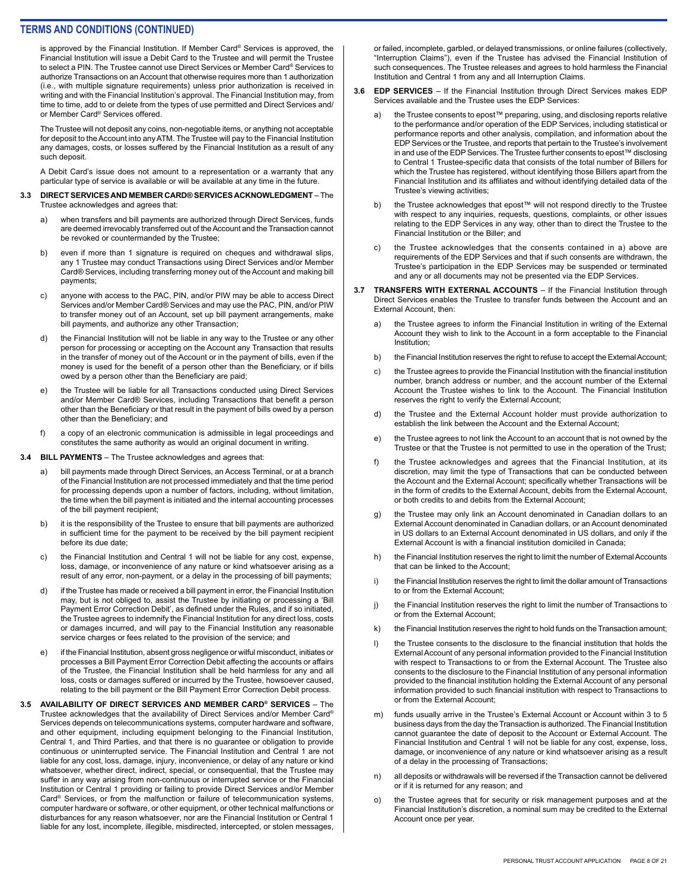is approved by the Financial Institution. If Member Card® Services is approved, the Financial Institution will issue a Debit Card to the Trustee and will permit the Trustee to select a PIN. The Trustee cannot use Direct Services or Member Card® Services to authorize Transactions on an Account that otherwise requires more than 1 authorization (i.e., with multiple signature requirements) unless prior authorization is received in writing and with the Financial Institution's approval. The Financial Institution may, from time to time, add to or delete from the types of use permitted and Direct Services and/ or Member Card® Services offered.

The Trustee will not deposit any coins, non-negotiable items, or anything not acceptable for deposit to the Account into any ATM. The Trustee will pay to the Financial Institution any damages, costs, or losses suffered by the Financial Institution as a result of any such deposit.

A Debit Card's issue does not amount to a representation or a warranty that any particular type of service is available or will be available at any time in the future.

#### **3.3 DIRECT SERVICES AND MEMBER CARD® SERVICES ACKNOWLEDGMENT** – The Trustee acknowledges and agrees that:

- a) when transfers and bill payments are authorized through Direct Services, funds are deemed irrevocably transferred out of the Account and the Transaction cannot be revoked or countermanded by the Trustee;
- b) even if more than 1 signature is required on cheques and withdrawal slips, any 1 Trustee may conduct Transactions using Direct Services and/or Member Card® Services, including transferring money out of the Account and making bill payments;
- c) anyone with access to the PAC, PIN, and/or PIW may be able to access Direct Services and/or Member Card® Services and may use the PAC, PIN, and/or PIW to transfer money out of an Account, set up bill payment arrangements, make bill payments, and authorize any other Transaction;
- d) the Financial Institution will not be liable in any way to the Trustee or any other person for processing or accepting on the Account any Transaction that results in the transfer of money out of the Account or in the payment of bills, even if the money is used for the benefit of a person other than the Beneficiary, or if bills owed by a person other than the Beneficiary are paid;
- e) the Trustee will be liable for all Transactions conducted using Direct Services and/or Member Card® Services, including Transactions that benefit a person other than the Beneficiary or that result in the payment of bills owed by a person other than the Beneficiary; and
- f) a copy of an electronic communication is admissible in legal proceedings and constitutes the same authority as would an original document in writing.
- **3.4 BILL PAYMENTS**  The Trustee acknowledges and agrees that:
	- a) bill payments made through Direct Services, an Access Terminal, or at a branch of the Financial Institution are not processed immediately and that the time period for processing depends upon a number of factors, including, without limitation, the time when the bill payment is initiated and the internal accounting processes of the bill payment recipient;
	- b) it is the responsibility of the Trustee to ensure that bill payments are authorized in sufficient time for the payment to be received by the bill payment recipient before its due date;
	- c) the Financial Institution and Central 1 will not be liable for any cost, expense, loss, damage, or inconvenience of any nature or kind whatsoever arising as a result of any error, non-payment, or a delay in the processing of bill payments;
	- d) if the Trustee has made or received a bill payment in error, the Financial Institution may, but is not obliged to, assist the Trustee by initiating or processing a 'Bill Payment Error Correction Debit', as defined under the Rules, and if so initiated, the Trustee agrees to indemnify the Financial Institution for any direct loss, costs or damages incurred, and will pay to the Financial Institution any reasonable service charges or fees related to the provision of the service; and
	- e) if the Financial Institution, absent gross negligence or wilful misconduct, initiates or processes a Bill Payment Error Correction Debit affecting the accounts or affairs of the Trustee, the Financial Institution shall be held harmless for any and all loss, costs or damages suffered or incurred by the Trustee, howsoever caused, relating to the bill payment or the Bill Payment Error Correction Debit process.
- **3.5 AVAILABILITY OF DIRECT SERVICES AND MEMBER CARD® SERVICES**  The Trustee acknowledges that the availability of Direct Services and/or Member Card® Services depends on telecommunications systems, computer hardware and software, and other equipment, including equipment belonging to the Financial Institution, Central 1, and Third Parties, and that there is no guarantee or obligation to provide continuous or uninterrupted service. The Financial Institution and Central 1 are not liable for any cost, loss, damage, injury, inconvenience, or delay of any nature or kind whatsoever, whether direct, indirect, special, or consequential, that the Trustee may suffer in any way arising from non-continuous or interrupted service or the Financial Institution or Central 1 providing or failing to provide Direct Services and/or Member Card® Services, or from the malfunction or failure of telecommunication systems, computer hardware or software, or other equipment, or other technical malfunctions or disturbances for any reason whatsoever, nor are the Financial Institution or Central 1 liable for any lost, incomplete, illegible, misdirected, intercepted, or stolen messages,

or failed, incomplete, garbled, or delayed transmissions, or online failures (collectively, "Interruption Claims"), even if the Trustee has advised the Financial Institution of such consequences. The Trustee releases and agrees to hold harmless the Financial Institution and Central 1 from any and all Interruption Claims.

- **3.6 EDP SERVICES**  If the Financial Institution through Direct Services makes EDP Services available and the Trustee uses the EDP Services:
	- the Trustee consents to epost™ preparing, using, and disclosing reports relative to the performance and/or operation of the EDP Services, including statistical or performance reports and other analysis, compilation, and information about the EDP Services or the Trustee, and reports that pertain to the Trustee's involvement in and use of the EDP Services. The Trustee further consents to epost™ disclosing to Central 1 Trustee-specific data that consists of the total number of Billers for which the Trustee has registered, without identifying those Billers apart from the Financial Institution and its affiliates and without identifying detailed data of the Trustee's viewing activities;
	- b) the Trustee acknowledges that epost™ will not respond directly to the Trustee with respect to any inquiries, requests, questions, complaints, or other issues relating to the EDP Services in any way, other than to direct the Trustee to the Financial Institution or the Biller; and
	- c) the Trustee acknowledges that the consents contained in a) above are requirements of the EDP Services and that if such consents are withdrawn, the Trustee's participation in the EDP Services may be suspended or terminated and any or all documents may not be presented via the EDP Services.
- **3.7 TRANSFERS WITH EXTERNAL ACCOUNTS** If the Financial Institution through Direct Services enables the Trustee to transfer funds between the Account and an External Account, then:
	- a) the Trustee agrees to inform the Financial Institution in writing of the External Account they wish to link to the Account in a form acceptable to the Financial Institution;
	- b) the Financial Institution reserves the right to refuse to accept the External Account;
	- c) the Trustee agrees to provide the Financial Institution with the financial institution number, branch address or number, and the account number of the External Account the Trustee wishes to link to the Account. The Financial Institution reserves the right to verify the External Account;
	- d) the Trustee and the External Account holder must provide authorization to establish the link between the Account and the External Account;
	- e) the Trustee agrees to not link the Account to an account that is not owned by the Trustee or that the Trustee is not permitted to use in the operation of the Trust;
	- f) the Trustee acknowledges and agrees that the Financial Institution, at its discretion, may limit the type of Transactions that can be conducted between the Account and the External Account; specifically whether Transactions will be in the form of credits to the External Account, debits from the External Account, or both credits to and debits from the External Account;
	- the Trustee may only link an Account denominated in Canadian dollars to an External Account denominated in Canadian dollars, or an Account denominated in US dollars to an External Account denominated in US dollars, and only if the External Account is with a financial institution domiciled in Canada;
	- h) the Financial Institution reserves the right to limit the number of External Accounts that can be linked to the Account;
	- i) the Financial Institution reserves the right to limit the dollar amount of Transactions to or from the External Account;
	- j) the Financial Institution reserves the right to limit the number of Transactions to or from the External Account;
	- k) the Financial Institution reserves the right to hold funds on the Transaction amount;
	- l) the Trustee consents to the disclosure to the financial institution that holds the External Account of any personal information provided to the Financial Institution with respect to Transactions to or from the External Account. The Trustee also consents to the disclosure to the Financial Institution of any personal information provided to the financial institution holding the External Account of any personal information provided to such financial institution with respect to Transactions to or from the External Account;
	- m) funds usually arrive in the Trustee's External Account or Account within 3 to 5 business days from the day the Transaction is authorized. The Financial Institution cannot guarantee the date of deposit to the Account or External Account. The Financial Institution and Central 1 will not be liable for any cost, expense, loss, damage, or inconvenience of any nature or kind whatsoever arising as a result of a delay in the processing of Transactions;
	- n) all deposits or withdrawals will be reversed if the Transaction cannot be delivered or if it is returned for any reason; and
	- o) the Trustee agrees that for security or risk management purposes and at the Financial Institution's discretion, a nominal sum may be credited to the External Account once per year.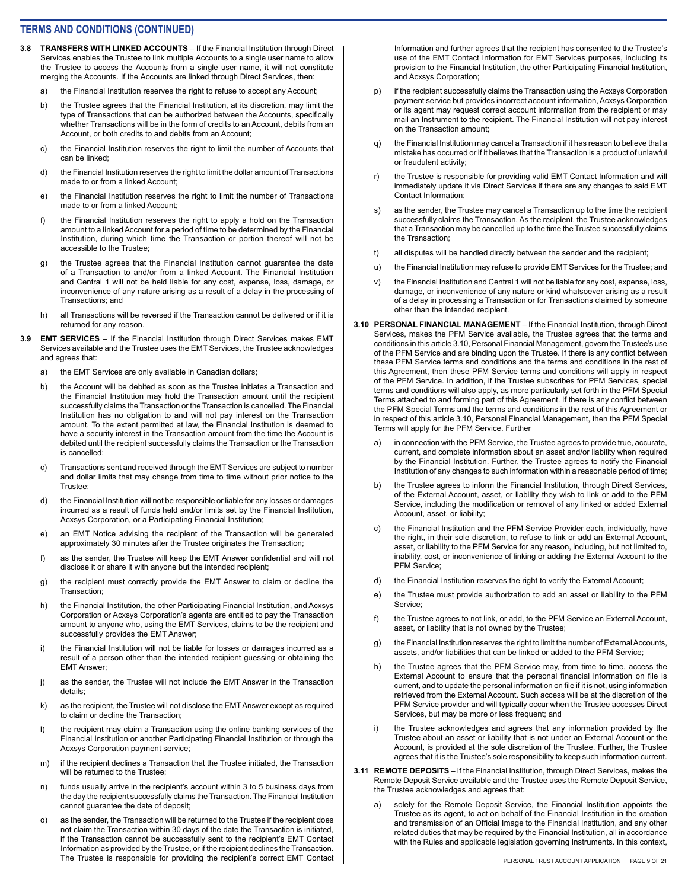- **3.8 TRANSFERS WITH LINKED ACCOUNTS** If the Financial Institution through Direct Services enables the Trustee to link multiple Accounts to a single user name to allow the Trustee to access the Accounts from a single user name, it will not constitute merging the Accounts. If the Accounts are linked through Direct Services, then:
	- a) the Financial Institution reserves the right to refuse to accept any Account;
	- b) the Trustee agrees that the Financial Institution, at its discretion, may limit the type of Transactions that can be authorized between the Accounts, specifically whether Transactions will be in the form of credits to an Account, debits from an Account, or both credits to and debits from an Account;
	- c) the Financial Institution reserves the right to limit the number of Accounts that can be linked;
	- d) the Financial Institution reserves the right to limit the dollar amount of Transactions made to or from a linked Account;
	- e) the Financial Institution reserves the right to limit the number of Transactions made to or from a linked Account;
	- f) the Financial Institution reserves the right to apply a hold on the Transaction amount to a linked Account for a period of time to be determined by the Financial Institution, during which time the Transaction or portion thereof will not be accessible to the Trustee;
	- g) the Trustee agrees that the Financial Institution cannot guarantee the date of a Transaction to and/or from a linked Account. The Financial Institution and Central 1 will not be held liable for any cost, expense, loss, damage, or inconvenience of any nature arising as a result of a delay in the processing of Transactions; and
	- h) all Transactions will be reversed if the Transaction cannot be delivered or if it is returned for any reason.
- **3.9 EMT SERVICES**  If the Financial Institution through Direct Services makes EMT Services available and the Trustee uses the EMT Services, the Trustee acknowledges and agrees that:
	- a) the EMT Services are only available in Canadian dollars;
	- b) the Account will be debited as soon as the Trustee initiates a Transaction and the Financial Institution may hold the Transaction amount until the recipient successfully claims the Transaction or the Transaction is cancelled. The Financial Institution has no obligation to and will not pay interest on the Transaction amount. To the extent permitted at law, the Financial Institution is deemed to have a security interest in the Transaction amount from the time the Account is debited until the recipient successfully claims the Transaction or the Transaction is cancelled;
	- c) Transactions sent and received through the EMT Services are subject to number and dollar limits that may change from time to time without prior notice to the Trustee;
	- d) the Financial Institution will not be responsible or liable for any losses or damages incurred as a result of funds held and/or limits set by the Financial Institution, Acxsys Corporation, or a Participating Financial Institution;
	- e) an EMT Notice advising the recipient of the Transaction will be generated approximately 30 minutes after the Trustee originates the Transaction;
	- f) as the sender, the Trustee will keep the EMT Answer confidential and will not disclose it or share it with anyone but the intended recipient;
	- g) the recipient must correctly provide the EMT Answer to claim or decline the Transaction;
	- h) the Financial Institution, the other Participating Financial Institution, and Acxsys Corporation or Acxsys Corporation's agents are entitled to pay the Transaction amount to anyone who, using the EMT Services, claims to be the recipient and successfully provides the EMT Answer;
	- i) the Financial Institution will not be liable for losses or damages incurred as a result of a person other than the intended recipient guessing or obtaining the EMT Answer;
	- j) as the sender, the Trustee will not include the EMT Answer in the Transaction details;
	- k) as the recipient, the Trustee will not disclose the EMT Answer except as required to claim or decline the Transaction;
	- l) the recipient may claim a Transaction using the online banking services of the Financial Institution or another Participating Financial Institution or through the Acxsys Corporation payment service;
	- m) if the recipient declines a Transaction that the Trustee initiated, the Transaction will be returned to the Trustee;
	- n) funds usually arrive in the recipient's account within 3 to 5 business days from the day the recipient successfully claims the Transaction. The Financial Institution cannot guarantee the date of deposit;
	- o) as the sender, the Transaction will be returned to the Trustee if the recipient does not claim the Transaction within 30 days of the date the Transaction is initiated, if the Transaction cannot be successfully sent to the recipient's EMT Contact Information as provided by the Trustee, or if the recipient declines the Transaction. The Trustee is responsible for providing the recipient's correct EMT Contact

Information and further agrees that the recipient has consented to the Trustee's use of the EMT Contact Information for EMT Services purposes, including its provision to the Financial Institution, the other Participating Financial Institution, and Acxsys Corporation;

- p) if the recipient successfully claims the Transaction using the Acxsys Corporation payment service but provides incorrect account information, Acxsys Corporation or its agent may request correct account information from the recipient or may mail an Instrument to the recipient. The Financial Institution will not pay interest on the Transaction amount;
- q) the Financial Institution may cancel a Transaction if it has reason to believe that a mistake has occurred or if it believes that the Transaction is a product of unlawful or fraudulent activity;
- r) the Trustee is responsible for providing valid EMT Contact Information and will immediately update it via Direct Services if there are any changes to said EMT Contact Information;
- s) as the sender, the Trustee may cancel a Transaction up to the time the recipient successfully claims the Transaction. As the recipient, the Trustee acknowledges that a Transaction may be cancelled up to the time the Trustee successfully claims the Transaction;
- t) all disputes will be handled directly between the sender and the recipient;
- u) the Financial Institution may refuse to provide EMT Services for the Trustee; and
- v) the Financial Institution and Central 1 will not be liable for any cost, expense, loss, damage, or inconvenience of any nature or kind whatsoever arising as a result of a delay in processing a Transaction or for Transactions claimed by someone other than the intended recipient.
- **3.10 PERSONAL FINANCIAL MANAGEMENT**  If the Financial Institution, through Direct Services, makes the PFM Service available, the Trustee agrees that the terms and conditions in this article 3.10, Personal Financial Management, govern the Trustee's use of the PFM Service and are binding upon the Trustee. If there is any conflict between these PFM Service terms and conditions and the terms and conditions in the rest of this Agreement, then these PFM Service terms and conditions will apply in respect of the PFM Service. In addition, if the Trustee subscribes for PFM Services, special terms and conditions will also apply, as more particularly set forth in the PFM Special Terms attached to and forming part of this Agreement. If there is any conflict between the PFM Special Terms and the terms and conditions in the rest of this Agreement or in respect of this article 3.10, Personal Financial Management, then the PFM Special Terms will apply for the PFM Service. Further
	- a) in connection with the PFM Service, the Trustee agrees to provide true, accurate, current, and complete information about an asset and/or liability when required by the Financial Institution. Further, the Trustee agrees to notify the Financial Institution of any changes to such information within a reasonable period of time;
	- b) the Trustee agrees to inform the Financial Institution, through Direct Services, of the External Account, asset, or liability they wish to link or add to the PFM Service, including the modification or removal of any linked or added External Account, asset, or liability;
	- c) the Financial Institution and the PFM Service Provider each, individually, have the right, in their sole discretion, to refuse to link or add an External Account, asset, or liability to the PFM Service for any reason, including, but not limited to, inability, cost, or inconvenience of linking or adding the External Account to the PFM Service;
	- d) the Financial Institution reserves the right to verify the External Account;
	- e) the Trustee must provide authorization to add an asset or liability to the PFM Service;
	- f) the Trustee agrees to not link, or add, to the PFM Service an External Account, asset, or liability that is not owned by the Trustee;
	- g) the Financial Institution reserves the right to limit the number of External Accounts, assets, and/or liabilities that can be linked or added to the PFM Service;
	- h) the Trustee agrees that the PFM Service may, from time to time, access the External Account to ensure that the personal financial information on file is current, and to update the personal information on file if it is not, using information retrieved from the External Account. Such access will be at the discretion of the PFM Service provider and will typically occur when the Trustee accesses Direct Services, but may be more or less frequent; and
	- the Trustee acknowledges and agrees that any information provided by the Trustee about an asset or liability that is not under an External Account or the Account, is provided at the sole discretion of the Trustee. Further, the Trustee agrees that it is the Trustee's sole responsibility to keep such information current.
- **3.11 REMOTE DEPOSITS** If the Financial Institution, through Direct Services, makes the Remote Deposit Service available and the Trustee uses the Remote Deposit Service, the Trustee acknowledges and agrees that:
	- solely for the Remote Deposit Service, the Financial Institution appoints the Trustee as its agent, to act on behalf of the Financial Institution in the creation and transmission of an Official Image to the Financial Institution, and any other related duties that may be required by the Financial Institution, all in accordance with the Rules and applicable legislation governing Instruments. In this context,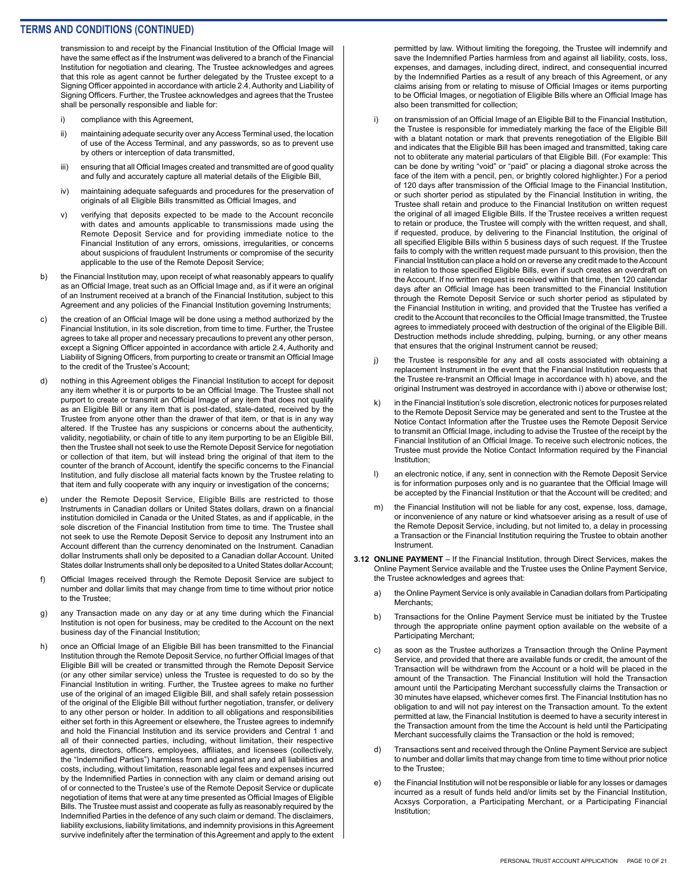transmission to and receipt by the Financial Institution of the Official Image will have the same effect as if the Instrument was delivered to a branch of the Financial Institution for negotiation and clearing. The Trustee acknowledges and agrees that this role as agent cannot be further delegated by the Trustee except to a Signing Officer appointed in accordance with article 2.4, Authority and Liability of Signing Officers. Further, the Trustee acknowledges and agrees that the Trustee shall be personally responsible and liable for:

- i) compliance with this Agreement,
- ii) maintaining adequate security over any Access Terminal used, the location of use of the Access Terminal, and any passwords, so as to prevent use by others or interception of data transmitted,
- iii) ensuring that all Official Images created and transmitted are of good quality and fully and accurately capture all material details of the Eligible Bill,
- iv) maintaining adequate safeguards and procedures for the preservation of originals of all Eligible Bills transmitted as Official Images, and
- v) verifying that deposits expected to be made to the Account reconcile with dates and amounts applicable to transmissions made using the Remote Deposit Service and for providing immediate notice to the Financial Institution of any errors, omissions, irregularities, or concerns about suspicions of fraudulent Instruments or compromise of the security applicable to the use of the Remote Deposit Service;
- b) the Financial Institution may, upon receipt of what reasonably appears to qualify as an Official Image, treat such as an Official Image and, as if it were an original of an Instrument received at a branch of the Financial Institution, subject to this Agreement and any policies of the Financial Institution governing Instruments;
- c) the creation of an Official Image will be done using a method authorized by the Financial Institution, in its sole discretion, from time to time. Further, the Trustee agrees to take all proper and necessary precautions to prevent any other person, except a Signing Officer appointed in accordance with article 2.4, Authority and Liability of Signing Officers, from purporting to create or transmit an Official Image to the credit of the Trustee's Account;
- d) nothing in this Agreement obliges the Financial Institution to accept for deposit any item whether it is or purports to be an Official Image. The Trustee shall not purport to create or transmit an Official Image of any item that does not qualify as an Eligible Bill or any item that is post-dated, stale-dated, received by the Trustee from anyone other than the drawer of that item, or that is in any way altered. If the Trustee has any suspicions or concerns about the authenticity, validity, negotiability, or chain of title to any item purporting to be an Eligible Bill, then the Trustee shall not seek to use the Remote Deposit Service for negotiation or collection of that item, but will instead bring the original of that item to the counter of the branch of Account, identify the specific concerns to the Financial Institution, and fully disclose all material facts known by the Trustee relating to that item and fully cooperate with any inquiry or investigation of the concerns;
- e) under the Remote Deposit Service, Eligible Bills are restricted to those Instruments in Canadian dollars or United States dollars, drawn on a financial institution domiciled in Canada or the United States, as and if applicable, in the sole discretion of the Financial Institution from time to time. The Trustee shall not seek to use the Remote Deposit Service to deposit any Instrument into an Account different than the currency denominated on the Instrument. Canadian dollar Instruments shall only be deposited to a Canadian dollar Account. United States dollar Instruments shall only be deposited to a United States dollar Account;
- f) Official Images received through the Remote Deposit Service are subject to number and dollar limits that may change from time to time without prior notice to the Trustee;
- g) any Transaction made on any day or at any time during which the Financial Institution is not open for business, may be credited to the Account on the next business day of the Financial Institution;
- h) once an Official Image of an Eligible Bill has been transmitted to the Financial Institution through the Remote Deposit Service, no further Official Images of that Eligible Bill will be created or transmitted through the Remote Deposit Service (or any other similar service) unless the Trustee is requested to do so by the Financial Institution in writing. Further, the Trustee agrees to make no further use of the original of an imaged Eligible Bill, and shall safely retain possession of the original of the Eligible Bill without further negotiation, transfer, or delivery to any other person or holder. In addition to all obligations and responsibilities either set forth in this Agreement or elsewhere, the Trustee agrees to indemnify and hold the Financial Institution and its service providers and Central 1 and all of their connected parties, including, without limitation, their respective agents, directors, officers, employees, affiliates, and licensees (collectively, the "Indemnified Parties") harmless from and against any and all liabilities and costs, including, without limitation, reasonable legal fees and expenses incurred by the Indemnified Parties in connection with any claim or demand arising out of or connected to the Trustee's use of the Remote Deposit Service or duplicate negotiation of items that were at any time presented as Official Images of Eligible Bills. The Trustee must assist and cooperate as fully as reasonably required by the Indemnified Parties in the defence of any such claim or demand. The disclaimers, liability exclusions, liability limitations, and indemnity provisions in this Agreement survive indefinitely after the termination of this Agreement and apply to the extent

permitted by law. Without limiting the foregoing, the Trustee will indemnify and save the Indemnified Parties harmless from and against all liability, costs, loss, expenses, and damages, including direct, indirect, and consequential incurred by the Indemnified Parties as a result of any breach of this Agreement, or any claims arising from or relating to misuse of Official Images or items purporting to be Official Images, or negotiation of Eligible Bills where an Official Image has also been transmitted for collection;

- i) on transmission of an Official Image of an Eligible Bill to the Financial Institution, the Trustee is responsible for immediately marking the face of the Eligible Bill with a blatant notation or mark that prevents renegotiation of the Eligible Bill and indicates that the Eligible Bill has been imaged and transmitted, taking care not to obliterate any material particulars of that Eligible Bill. (For example: This can be done by writing "void" or "paid" or placing a diagonal stroke across the face of the item with a pencil, pen, or brightly colored highlighter.) For a period of 120 days after transmission of the Official Image to the Financial Institution, or such shorter period as stipulated by the Financial Institution in writing, the Trustee shall retain and produce to the Financial Institution on written request the original of all imaged Eligible Bills. If the Trustee receives a written request to retain or produce, the Trustee will comply with the written request, and shall, if requested, produce, by delivering to the Financial Institution, the original of all specified Eligible Bills within 5 business days of such request. If the Trustee fails to comply with the written request made pursuant to this provision, then the Financial Institution can place a hold on or reverse any credit made to the Account in relation to those specified Eligible Bills, even if such creates an overdraft on the Account. If no written request is received within that time, then 120 calendar days after an Official Image has been transmitted to the Financial Institution through the Remote Deposit Service or such shorter period as stipulated by the Financial Institution in writing, and provided that the Trustee has verified a credit to the Account that reconciles to the Official Image transmitted, the Trustee agrees to immediately proceed with destruction of the original of the Eligible Bill. Destruction methods include shredding, pulping, burning, or any other means that ensures that the original Instrument cannot be reused;
- j) the Trustee is responsible for any and all costs associated with obtaining a replacement Instrument in the event that the Financial Institution requests that the Trustee re-transmit an Official Image in accordance with h) above, and the original Instrument was destroyed in accordance with i) above or otherwise lost;
- k) in the Financial Institution's sole discretion, electronic notices for purposes related to the Remote Deposit Service may be generated and sent to the Trustee at the Notice Contact Information after the Trustee uses the Remote Deposit Service to transmit an Official Image, including to advise the Trustee of the receipt by the Financial Institution of an Official Image. To receive such electronic notices, the Trustee must provide the Notice Contact Information required by the Financial Institution;
- l) an electronic notice, if any, sent in connection with the Remote Deposit Service is for information purposes only and is no guarantee that the Official Image will be accepted by the Financial Institution or that the Account will be credited; and
- m) the Financial Institution will not be liable for any cost, expense, loss, damage, or inconvenience of any nature or kind whatsoever arising as a result of use of the Remote Deposit Service, including, but not limited to, a delay in processing a Transaction or the Financial Institution requiring the Trustee to obtain another Instrument.
- **3.12 ONLINE PAYMENT**  If the Financial Institution, through Direct Services, makes the Online Payment Service available and the Trustee uses the Online Payment Service, the Trustee acknowledges and agrees that:
	- a) the Online Payment Service is only available in Canadian dollars from Participating Merchants;
	- b) Transactions for the Online Payment Service must be initiated by the Trustee through the appropriate online payment option available on the website of a Participating Merchant;
	- c) as soon as the Trustee authorizes a Transaction through the Online Payment Service, and provided that there are available funds or credit, the amount of the Transaction will be withdrawn from the Account or a hold will be placed in the amount of the Transaction. The Financial Institution will hold the Transaction amount until the Participating Merchant successfully claims the Transaction or 30 minutes have elapsed, whichever comes first. The Financial Institution has no obligation to and will not pay interest on the Transaction amount. To the extent permitted at law, the Financial Institution is deemed to have a security interest in the Transaction amount from the time the Account is held until the Participating Merchant successfully claims the Transaction or the hold is removed;
	- d) Transactions sent and received through the Online Payment Service are subject to number and dollar limits that may change from time to time without prior notice to the Trustee;
	- e) the Financial Institution will not be responsible or liable for any losses or damages incurred as a result of funds held and/or limits set by the Financial Institution, Acxsys Corporation, a Participating Merchant, or a Participating Financial Institution;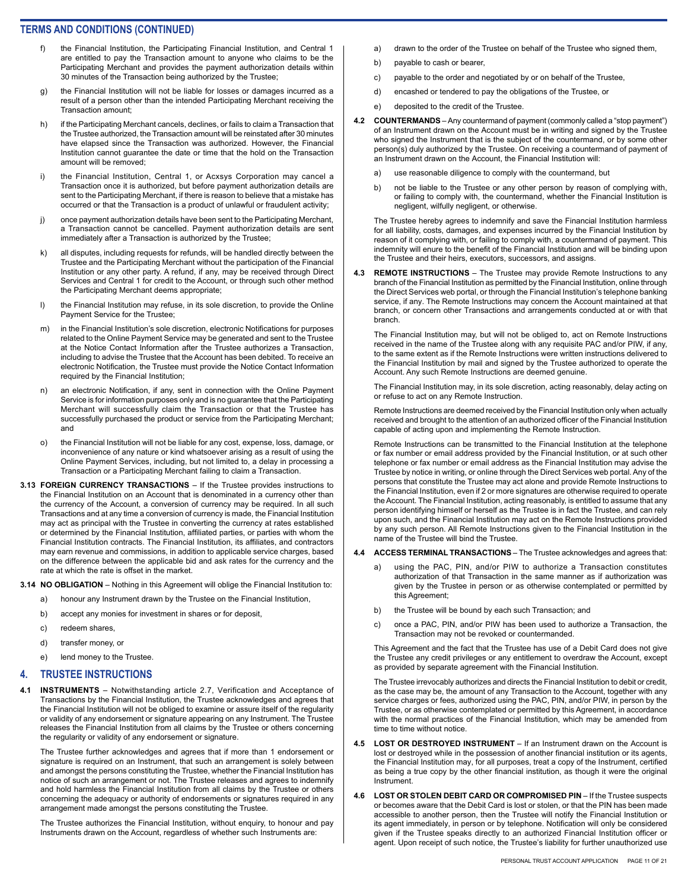- f) the Financial Institution, the Participating Financial Institution, and Central 1 are entitled to pay the Transaction amount to anyone who claims to be the Participating Merchant and provides the payment authorization details within 30 minutes of the Transaction being authorized by the Trustee;
- g) the Financial Institution will not be liable for losses or damages incurred as a result of a person other than the intended Participating Merchant receiving the Transaction amount;
- h) if the Participating Merchant cancels, declines, or fails to claim a Transaction that the Trustee authorized, the Transaction amount will be reinstated after 30 minutes have elapsed since the Transaction was authorized. However, the Financial Institution cannot guarantee the date or time that the hold on the Transaction amount will be removed;
- i) the Financial Institution, Central 1, or Acxsys Corporation may cancel a Transaction once it is authorized, but before payment authorization details are sent to the Participating Merchant, if there is reason to believe that a mistake has occurred or that the Transaction is a product of unlawful or fraudulent activity;
- j) once payment authorization details have been sent to the Participating Merchant, a Transaction cannot be cancelled. Payment authorization details are sent immediately after a Transaction is authorized by the Trustee;
- k) all disputes, including requests for refunds, will be handled directly between the Trustee and the Participating Merchant without the participation of the Financial Institution or any other party. A refund, if any, may be received through Direct Services and Central 1 for credit to the Account, or through such other method the Participating Merchant deems appropriate;
- l) the Financial Institution may refuse, in its sole discretion, to provide the Online Payment Service for the Trustee;
- m) in the Financial Institution's sole discretion, electronic Notifications for purposes related to the Online Payment Service may be generated and sent to the Trustee at the Notice Contact Information after the Trustee authorizes a Transaction, including to advise the Trustee that the Account has been debited. To receive an electronic Notification, the Trustee must provide the Notice Contact Information required by the Financial Institution;
- n) an electronic Notification, if any, sent in connection with the Online Payment Service is for information purposes only and is no guarantee that the Participating Merchant will successfully claim the Transaction or that the Trustee has successfully purchased the product or service from the Participating Merchant; and
- o) the Financial Institution will not be liable for any cost, expense, loss, damage, or inconvenience of any nature or kind whatsoever arising as a result of using the Online Payment Services, including, but not limited to, a delay in processing a Transaction or a Participating Merchant failing to claim a Transaction.
- **3.13 FOREIGN CURRENCY TRANSACTIONS** If the Trustee provides instructions to the Financial Institution on an Account that is denominated in a currency other than the currency of the Account, a conversion of currency may be required. In all such Transactions and at any time a conversion of currency is made, the Financial Institution may act as principal with the Trustee in converting the currency at rates established or determined by the Financial Institution, affiliated parties, or parties with whom the Financial Institution contracts. The Financial Institution, its affiliates, and contractors may earn revenue and commissions, in addition to applicable service charges, based on the difference between the applicable bid and ask rates for the currency and the rate at which the rate is offset in the market.

**3.14 NO OBLIGATION** – Nothing in this Agreement will oblige the Financial Institution to:

- a) honour any Instrument drawn by the Trustee on the Financial Institution,
- b) accept any monies for investment in shares or for deposit,
- c) redeem shares,
- d) transfer money, or
- e) lend money to the Trustee.

# **4. TRUSTEE INSTRUCTIONS**

**4.1 INSTRUMENTS** – Notwithstanding article 2.7, Verification and Acceptance of Transactions by the Financial Institution, the Trustee acknowledges and agrees that the Financial Institution will not be obliged to examine or assure itself of the regularity or validity of any endorsement or signature appearing on any Instrument. The Trustee releases the Financial Institution from all claims by the Trustee or others concerning the regularity or validity of any endorsement or signature.

The Trustee further acknowledges and agrees that if more than 1 endorsement or signature is required on an Instrument, that such an arrangement is solely between and amongst the persons constituting the Trustee, whether the Financial Institution has notice of such an arrangement or not. The Trustee releases and agrees to indemnify and hold harmless the Financial Institution from all claims by the Trustee or others concerning the adequacy or authority of endorsements or signatures required in any arrangement made amongst the persons constituting the Trustee.

The Trustee authorizes the Financial Institution, without enquiry, to honour and pay Instruments drawn on the Account, regardless of whether such Instruments are:

- a) drawn to the order of the Trustee on behalf of the Trustee who signed them,
- b) payable to cash or bearer.
- c) payable to the order and negotiated by or on behalf of the Trustee,
- d) encashed or tendered to pay the obligations of the Trustee, or
- e) deposited to the credit of the Trustee.
- **4.2 COUNTERMANDS** Any countermand of payment (commonly called a "stop payment") of an Instrument drawn on the Account must be in writing and signed by the Trustee who signed the Instrument that is the subject of the countermand, or by some other person(s) duly authorized by the Trustee. On receiving a countermand of payment of an Instrument drawn on the Account, the Financial Institution will:
	- a) use reasonable diligence to comply with the countermand, but
	- b) not be liable to the Trustee or any other person by reason of complying with, or failing to comply with, the countermand, whether the Financial Institution is negligent, wilfully negligent, or otherwise.

The Trustee hereby agrees to indemnify and save the Financial Institution harmless for all liability, costs, damages, and expenses incurred by the Financial Institution by reason of it complying with, or failing to comply with, a countermand of payment. This indemnity will enure to the benefit of the Financial Institution and will be binding upon the Trustee and their heirs, executors, successors, and assigns.

**4.3 REMOTE INSTRUCTIONS** – The Trustee may provide Remote Instructions to any branch of the Financial Institution as permitted by the Financial Institution, online through the Direct Services web portal, or through the Financial Institution's telephone banking service, if any. The Remote Instructions may concern the Account maintained at that branch, or concern other Transactions and arrangements conducted at or with that branch.

The Financial Institution may, but will not be obliged to, act on Remote Instructions received in the name of the Trustee along with any requisite PAC and/or PIW, if any, to the same extent as if the Remote Instructions were written instructions delivered to the Financial Institution by mail and signed by the Trustee authorized to operate the Account. Any such Remote Instructions are deemed genuine.

The Financial Institution may, in its sole discretion, acting reasonably, delay acting on or refuse to act on any Remote Instruction.

Remote Instructions are deemed received by the Financial Institution only when actually received and brought to the attention of an authorized officer of the Financial Institution capable of acting upon and implementing the Remote Instruction.

Remote Instructions can be transmitted to the Financial Institution at the telephone or fax number or email address provided by the Financial Institution, or at such other telephone or fax number or email address as the Financial Institution may advise the Trustee by notice in writing, or online through the Direct Services web portal. Any of the persons that constitute the Trustee may act alone and provide Remote Instructions to the Financial Institution, even if 2 or more signatures are otherwise required to operate the Account. The Financial Institution, acting reasonably, is entitled to assume that any person identifying himself or herself as the Trustee is in fact the Trustee, and can rely upon such, and the Financial Institution may act on the Remote Instructions provided by any such person. All Remote Instructions given to the Financial Institution in the name of the Trustee will bind the Trustee.

#### **4.4 ACCESS TERMINAL TRANSACTIONS** – The Trustee acknowledges and agrees that:

- a) using the PAC, PIN, and/or PIW to authorize a Transaction constitutes authorization of that Transaction in the same manner as if authorization was given by the Trustee in person or as otherwise contemplated or permitted by this Agreement;
- b) the Trustee will be bound by each such Transaction; and
- c) once a PAC, PIN, and/or PIW has been used to authorize a Transaction, the Transaction may not be revoked or countermanded.

This Agreement and the fact that the Trustee has use of a Debit Card does not give the Trustee any credit privileges or any entitlement to overdraw the Account, except as provided by separate agreement with the Financial Institution.

The Trustee irrevocably authorizes and directs the Financial Institution to debit or credit, as the case may be, the amount of any Transaction to the Account, together with any service charges or fees, authorized using the PAC, PIN, and/or PIW, in person by the Trustee, or as otherwise contemplated or permitted by this Agreement, in accordance with the normal practices of the Financial Institution, which may be amended from time to time without notice.

- **4.5 LOST OR DESTROYED INSTRUMENT** If an Instrument drawn on the Account is lost or destroyed while in the possession of another financial institution or its agents, the Financial Institution may, for all purposes, treat a copy of the Instrument, certified as being a true copy by the other financial institution, as though it were the original Instrument.
- **4.6 LOST OR STOLEN DEBIT CARD OR COMPROMISED PIN** If the Trustee suspects or becomes aware that the Debit Card is lost or stolen, or that the PIN has been made accessible to another person, then the Trustee will notify the Financial Institution or its agent immediately, in person or by telephone. Notification will only be considered given if the Trustee speaks directly to an authorized Financial Institution officer or agent. Upon receipt of such notice, the Trustee's liability for further unauthorized use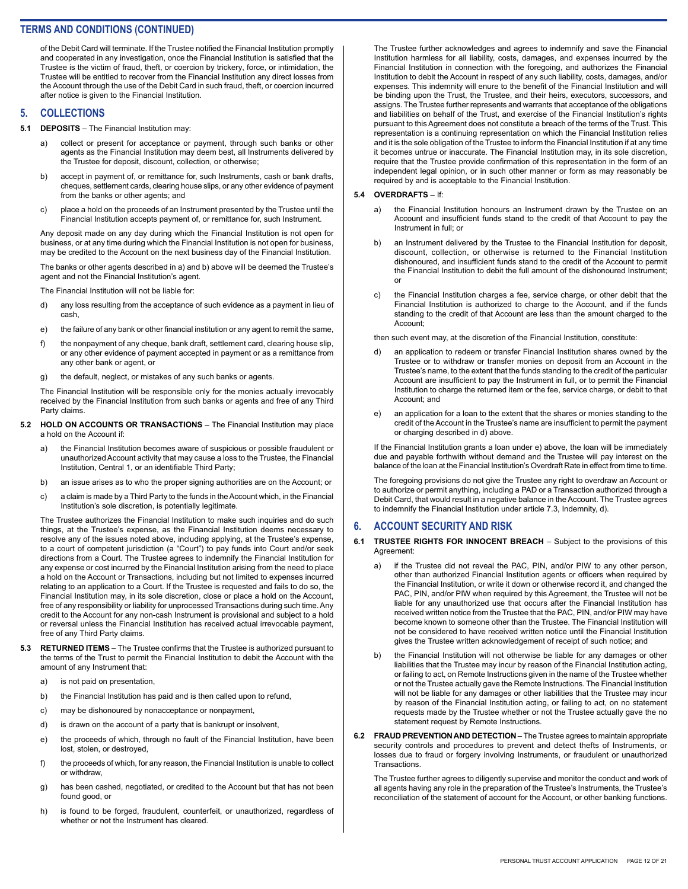of the Debit Card will terminate. If the Trustee notified the Financial Institution promptly and cooperated in any investigation, once the Financial Institution is satisfied that the Trustee is the victim of fraud, theft, or coercion by trickery, force, or intimidation, the Trustee will be entitled to recover from the Financial Institution any direct losses from the Account through the use of the Debit Card in such fraud, theft, or coercion incurred after notice is given to the Financial Institution.

#### **5. COLLECTIONS**

- **5.1 DEPOSITS**  The Financial Institution may:
	- a) collect or present for acceptance or payment, through such banks or other agents as the Financial Institution may deem best, all Instruments delivered by the Trustee for deposit, discount, collection, or otherwise;
	- b) accept in payment of, or remittance for, such Instruments, cash or bank drafts, cheques, settlement cards, clearing house slips, or any other evidence of payment from the banks or other agents; and
	- c) place a hold on the proceeds of an Instrument presented by the Trustee until the Financial Institution accepts payment of, or remittance for, such Instrument.

Any deposit made on any day during which the Financial Institution is not open for business, or at any time during which the Financial Institution is not open for business, may be credited to the Account on the next business day of the Financial Institution.

The banks or other agents described in a) and b) above will be deemed the Trustee's agent and not the Financial Institution's agent.

The Financial Institution will not be liable for:

- d) any loss resulting from the acceptance of such evidence as a payment in lieu of cash,
- e) the failure of any bank or other financial institution or any agent to remit the same,
- f) the nonpayment of any cheque, bank draft, settlement card, clearing house slip, or any other evidence of payment accepted in payment or as a remittance from any other bank or agent, or
- g) the default, neglect, or mistakes of any such banks or agents.

The Financial Institution will be responsible only for the monies actually irrevocably received by the Financial Institution from such banks or agents and free of any Third Party claims.

- **5.2 HOLD ON ACCOUNTS OR TRANSACTIONS**  The Financial Institution may place a hold on the Account if:
	- a) the Financial Institution becomes aware of suspicious or possible fraudulent or unauthorized Account activity that may cause a loss to the Trustee, the Financial Institution, Central 1, or an identifiable Third Party;
	- b) an issue arises as to who the proper signing authorities are on the Account; or
	- c) a claim is made by a Third Party to the funds in the Account which, in the Financial Institution's sole discretion, is potentially legitimate.

The Trustee authorizes the Financial Institution to make such inquiries and do such things, at the Trustee's expense, as the Financial Institution deems necessary to resolve any of the issues noted above, including applying, at the Trustee's expense, to a court of competent jurisdiction (a "Court") to pay funds into Court and/or seek directions from a Court. The Trustee agrees to indemnify the Financial Institution for any expense or cost incurred by the Financial Institution arising from the need to place a hold on the Account or Transactions, including but not limited to expenses incurred relating to an application to a Court. If the Trustee is requested and fails to do so, the Financial Institution may, in its sole discretion, close or place a hold on the Account, free of any responsibility or liability for unprocessed Transactions during such time. Any credit to the Account for any non-cash Instrument is provisional and subject to a hold or reversal unless the Financial Institution has received actual irrevocable payment, free of any Third Party claims.

- **5.3 RETURNED ITEMS** The Trustee confirms that the Trustee is authorized pursuant to the terms of the Trust to permit the Financial Institution to debit the Account with the amount of any Instrument that:
	- a) is not paid on presentation,
	- b) the Financial Institution has paid and is then called upon to refund,
	- c) may be dishonoured by nonacceptance or nonpayment,
	- d) is drawn on the account of a party that is bankrupt or insolvent,
	- e) the proceeds of which, through no fault of the Financial Institution, have been lost, stolen, or destroyed,
	- f) the proceeds of which, for any reason, the Financial Institution is unable to collect or withdraw,
	- g) has been cashed, negotiated, or credited to the Account but that has not been found good, or
	- h) is found to be forged, fraudulent, counterfeit, or unauthorized, regardless of whether or not the Instrument has cleared.

The Trustee further acknowledges and agrees to indemnify and save the Financial Institution harmless for all liability, costs, damages, and expenses incurred by the Financial Institution in connection with the foregoing, and authorizes the Financial Institution to debit the Account in respect of any such liability, costs, damages, and/or expenses. This indemnity will enure to the benefit of the Financial Institution and will be binding upon the Trust, the Trustee, and their heirs, executors, successors, and assigns. The Trustee further represents and warrants that acceptance of the obligations and liabilities on behalf of the Trust, and exercise of the Financial Institution's rights pursuant to this Agreement does not constitute a breach of the terms of the Trust. This representation is a continuing representation on which the Financial Institution relies and it is the sole obligation of the Trustee to inform the Financial Institution if at any time it becomes untrue or inaccurate. The Financial Institution may, in its sole discretion, require that the Trustee provide confirmation of this representation in the form of an independent legal opinion, or in such other manner or form as may reasonably be required by and is acceptable to the Financial Institution.

#### **5.4 OVERDRAFTS** – If:

- a) the Financial Institution honours an Instrument drawn by the Trustee on an Account and insufficient funds stand to the credit of that Account to pay the Instrument in full; or
- b) an Instrument delivered by the Trustee to the Financial Institution for deposit, discount, collection, or otherwise is returned to the Financial Institution dishonoured, and insufficient funds stand to the credit of the Account to permit the Financial Institution to debit the full amount of the dishonoured Instrument; or
- c) the Financial Institution charges a fee, service charge, or other debit that the Financial Institution is authorized to charge to the Account, and if the funds standing to the credit of that Account are less than the amount charged to the Account;

then such event may, at the discretion of the Financial Institution, constitute:

- d) an application to redeem or transfer Financial Institution shares owned by the Trustee or to withdraw or transfer monies on deposit from an Account in the Trustee's name, to the extent that the funds standing to the credit of the particular Account are insufficient to pay the Instrument in full, or to permit the Financial Institution to charge the returned item or the fee, service charge, or debit to that Account; and
- e) an application for a loan to the extent that the shares or monies standing to the credit of the Account in the Trustee's name are insufficient to permit the payment or charging described in d) above.

If the Financial Institution grants a loan under e) above, the loan will be immediately due and payable forthwith without demand and the Trustee will pay interest on the balance of the loan at the Financial Institution's Overdraft Rate in effect from time to time.

The foregoing provisions do not give the Trustee any right to overdraw an Account or to authorize or permit anything, including a PAD or a Transaction authorized through a Debit Card, that would result in a negative balance in the Account. The Trustee agrees to indemnify the Financial Institution under article 7.3, Indemnity, d).

#### **6. ACCOUNT SECURITY AND RISK**

#### **6.1 TRUSTEE RIGHTS FOR INNOCENT BREACH** – Subject to the provisions of this Agreement:

- if the Trustee did not reveal the PAC, PIN, and/or PIW to any other person, other than authorized Financial Institution agents or officers when required by the Financial Institution, or write it down or otherwise record it, and changed the PAC, PIN, and/or PIW when required by this Agreement, the Trustee will not be liable for any unauthorized use that occurs after the Financial Institution has received written notice from the Trustee that the PAC, PIN, and/or PIW may have become known to someone other than the Trustee. The Financial Institution will not be considered to have received written notice until the Financial Institution gives the Trustee written acknowledgement of receipt of such notice; and
- b) the Financial Institution will not otherwise be liable for any damages or other liabilities that the Trustee may incur by reason of the Financial Institution acting, or failing to act, on Remote Instructions given in the name of the Trustee whether or not the Trustee actually gave the Remote Instructions. The Financial Institution will not be liable for any damages or other liabilities that the Trustee may incur by reason of the Financial Institution acting, or failing to act, on no statement requests made by the Trustee whether or not the Trustee actually gave the no statement request by Remote Instructions.
- **6.2 FRAUD PREVENTION AND DETECTION**  The Trustee agrees to maintain appropriate security controls and procedures to prevent and detect thefts of Instruments, or losses due to fraud or forgery involving Instruments, or fraudulent or unauthorized Transactions.

The Trustee further agrees to diligently supervise and monitor the conduct and work of all agents having any role in the preparation of the Trustee's Instruments, the Trustee's reconciliation of the statement of account for the Account, or other banking functions.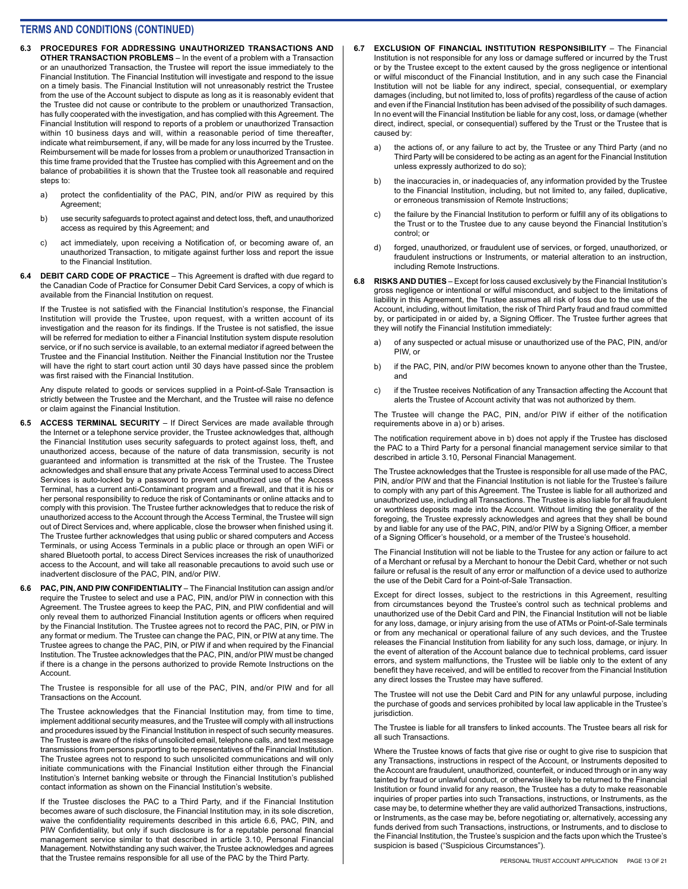- **6.3 PROCEDURES FOR ADDRESSING UNAUTHORIZED TRANSACTIONS AND OTHER TRANSACTION PROBLEMS** – In the event of a problem with a Transaction or an unauthorized Transaction, the Trustee will report the issue immediately to the Financial Institution. The Financial Institution will investigate and respond to the issue on a timely basis. The Financial Institution will not unreasonably restrict the Trustee from the use of the Account subject to dispute as long as it is reasonably evident that the Trustee did not cause or contribute to the problem or unauthorized Transaction, has fully cooperated with the investigation, and has complied with this Agreement. The Financial Institution will respond to reports of a problem or unauthorized Transaction within 10 business days and will, within a reasonable period of time thereafter, indicate what reimbursement, if any, will be made for any loss incurred by the Trustee. Reimbursement will be made for losses from a problem or unauthorized Transaction in this time frame provided that the Trustee has complied with this Agreement and on the balance of probabilities it is shown that the Trustee took all reasonable and required steps to:
	- a) protect the confidentiality of the PAC, PIN, and/or PIW as required by this Agreement;
	- b) use security safeguards to protect against and detect loss, theft, and unauthorized access as required by this Agreement; and
	- c) act immediately, upon receiving a Notification of, or becoming aware of, an unauthorized Transaction, to mitigate against further loss and report the issue to the Financial Institution.
- **6.4 DEBIT CARD CODE OF PRACTICE**  This Agreement is drafted with due regard to the Canadian Code of Practice for Consumer Debit Card Services, a copy of which is available from the Financial Institution on request.

If the Trustee is not satisfied with the Financial Institution's response, the Financial Institution will provide the Trustee, upon request, with a written account of its investigation and the reason for its findings. If the Trustee is not satisfied, the issue will be referred for mediation to either a Financial Institution system dispute resolution service, or if no such service is available, to an external mediator if agreed between the Trustee and the Financial Institution. Neither the Financial Institution nor the Trustee will have the right to start court action until 30 days have passed since the problem was first raised with the Financial Institution.

Any dispute related to goods or services supplied in a Point-of-Sale Transaction is strictly between the Trustee and the Merchant, and the Trustee will raise no defence or claim against the Financial Institution.

- **6.5 ACCESS TERMINAL SECURITY** If Direct Services are made available through the Internet or a telephone service provider, the Trustee acknowledges that, although the Financial Institution uses security safeguards to protect against loss, theft, and unauthorized access, because of the nature of data transmission, security is not guaranteed and information is transmitted at the risk of the Trustee. The Trustee acknowledges and shall ensure that any private Access Terminal used to access Direct Services is auto-locked by a password to prevent unauthorized use of the Access Terminal, has a current anti-Contaminant program and a firewall, and that it is his or her personal responsibility to reduce the risk of Contaminants or online attacks and to comply with this provision. The Trustee further acknowledges that to reduce the risk of unauthorized access to the Account through the Access Terminal, the Trustee will sign out of Direct Services and, where applicable, close the browser when finished using it. The Trustee further acknowledges that using public or shared computers and Access Terminals, or using Access Terminals in a public place or through an open WiFi or shared Bluetooth portal, to access Direct Services increases the risk of unauthorized access to the Account, and will take all reasonable precautions to avoid such use or inadvertent disclosure of the PAC, PIN, and/or PIW.
- **6.6 PAC, PIN, AND PIW CONFIDENTIALITY** The Financial Institution can assign and/or require the Trustee to select and use a PAC, PIN, and/or PIW in connection with this Agreement. The Trustee agrees to keep the PAC, PIN, and PIW confidential and will only reveal them to authorized Financial Institution agents or officers when required by the Financial Institution. The Trustee agrees not to record the PAC, PIN, or PIW in any format or medium. The Trustee can change the PAC, PIN, or PIW at any time. The Trustee agrees to change the PAC, PIN, or PIW if and when required by the Financial Institution. The Trustee acknowledges that the PAC, PIN, and/or PIW must be changed if there is a change in the persons authorized to provide Remote Instructions on the Account.

The Trustee is responsible for all use of the PAC, PIN, and/or PIW and for all Transactions on the Account.

The Trustee acknowledges that the Financial Institution may, from time to time, implement additional security measures, and the Trustee will comply with all instructions and procedures issued by the Financial Institution in respect of such security measures. The Trustee is aware of the risks of unsolicited email, telephone calls, and text message transmissions from persons purporting to be representatives of the Financial Institution. The Trustee agrees not to respond to such unsolicited communications and will only initiate communications with the Financial Institution either through the Financial Institution's Internet banking website or through the Financial Institution's published contact information as shown on the Financial Institution's website.

If the Trustee discloses the PAC to a Third Party, and if the Financial Institution becomes aware of such disclosure, the Financial Institution may, in its sole discretion, waive the confidentiality requirements described in this article 6.6, PAC, PIN, and PIW Confidentiality, but only if such disclosure is for a reputable personal financial management service similar to that described in article 3.10, Personal Financial Management. Notwithstanding any such waiver, the Trustee acknowledges and agrees that the Trustee remains responsible for all use of the PAC by the Third Party.

- **6.7 EXCLUSION OF FINANCIAL INSTITUTION RESPONSIBILITY**  The Financial Institution is not responsible for any loss or damage suffered or incurred by the Trust or by the Trustee except to the extent caused by the gross negligence or intentional or wilful misconduct of the Financial Institution, and in any such case the Financial Institution will not be liable for any indirect, special, consequential, or exemplary damages (including, but not limited to, loss of profits) regardless of the cause of action and even if the Financial Institution has been advised of the possibility of such damages. In no event will the Financial Institution be liable for any cost, loss, or damage (whether direct, indirect, special, or consequential) suffered by the Trust or the Trustee that is caused by:
	- a) the actions of, or any failure to act by, the Trustee or any Third Party (and no Third Party will be considered to be acting as an agent for the Financial Institution unless expressly authorized to do so);
	- b) the inaccuracies in, or inadequacies of, any information provided by the Trustee to the Financial Institution, including, but not limited to, any failed, duplicative, or erroneous transmission of Remote Instructions;
	- c) the failure by the Financial Institution to perform or fulfill any of its obligations to the Trust or to the Trustee due to any cause beyond the Financial Institution's control; or
	- d) forged, unauthorized, or fraudulent use of services, or forged, unauthorized, or fraudulent instructions or Instruments, or material alteration to an instruction, including Remote Instructions.
- **6.8 RISKS AND DUTIES** Except for loss caused exclusively by the Financial Institution's gross negligence or intentional or wilful misconduct, and subject to the limitations of liability in this Agreement, the Trustee assumes all risk of loss due to the use of the Account, including, without limitation, the risk of Third Party fraud and fraud committed by, or participated in or aided by, a Signing Officer. The Trustee further agrees that they will notify the Financial Institution immediately:
	- of any suspected or actual misuse or unauthorized use of the PAC, PIN, and/or PIW, or
	- b) if the PAC, PIN, and/or PIW becomes known to anyone other than the Trustee, and
	- c) if the Trustee receives Notification of any Transaction affecting the Account that alerts the Trustee of Account activity that was not authorized by them.

The Trustee will change the PAC, PIN, and/or PIW if either of the notification requirements above in a) or b) arises.

The notification requirement above in b) does not apply if the Trustee has disclosed the PAC to a Third Party for a personal financial management service similar to that described in article 3.10, Personal Financial Management.

The Trustee acknowledges that the Trustee is responsible for all use made of the PAC, PIN, and/or PIW and that the Financial Institution is not liable for the Trustee's failure to comply with any part of this Agreement. The Trustee is liable for all authorized and unauthorized use, including all Transactions. The Trustee is also liable for all fraudulent or worthless deposits made into the Account. Without limiting the generality of the foregoing, the Trustee expressly acknowledges and agrees that they shall be bound by and liable for any use of the PAC, PIN, and/or PIW by a Signing Officer, a member of a Signing Officer's household, or a member of the Trustee's household.

The Financial Institution will not be liable to the Trustee for any action or failure to act of a Merchant or refusal by a Merchant to honour the Debit Card, whether or not such failure or refusal is the result of any error or malfunction of a device used to authorize the use of the Debit Card for a Point-of-Sale Transaction.

Except for direct losses, subject to the restrictions in this Agreement, resulting from circumstances beyond the Trustee's control such as technical problems and unauthorized use of the Debit Card and PIN, the Financial Institution will not be liable for any loss, damage, or injury arising from the use of ATMs or Point-of-Sale terminals or from any mechanical or operational failure of any such devices, and the Trustee releases the Financial Institution from liability for any such loss, damage, or injury. In the event of alteration of the Account balance due to technical problems, card issuer errors, and system malfunctions, the Trustee will be liable only to the extent of any benefit they have received, and will be entitled to recover from the Financial Institution any direct losses the Trustee may have suffered.

The Trustee will not use the Debit Card and PIN for any unlawful purpose, including the purchase of goods and services prohibited by local law applicable in the Trustee's jurisdiction.

The Trustee is liable for all transfers to linked accounts. The Trustee bears all risk for all such Transactions.

Where the Trustee knows of facts that give rise or ought to give rise to suspicion that any Transactions, instructions in respect of the Account, or Instruments deposited to the Account are fraudulent, unauthorized, counterfeit, or induced through or in any way tainted by fraud or unlawful conduct, or otherwise likely to be returned to the Financial Institution or found invalid for any reason, the Trustee has a duty to make reasonable inquiries of proper parties into such Transactions, instructions, or Instruments, as the case may be, to determine whether they are valid authorized Transactions, instructions, or Instruments, as the case may be, before negotiating or, alternatively, accessing any funds derived from such Transactions, instructions, or Instruments, and to disclose to the Financial Institution, the Trustee's suspicion and the facts upon which the Trustee's suspicion is based ("Suspicious Circumstances").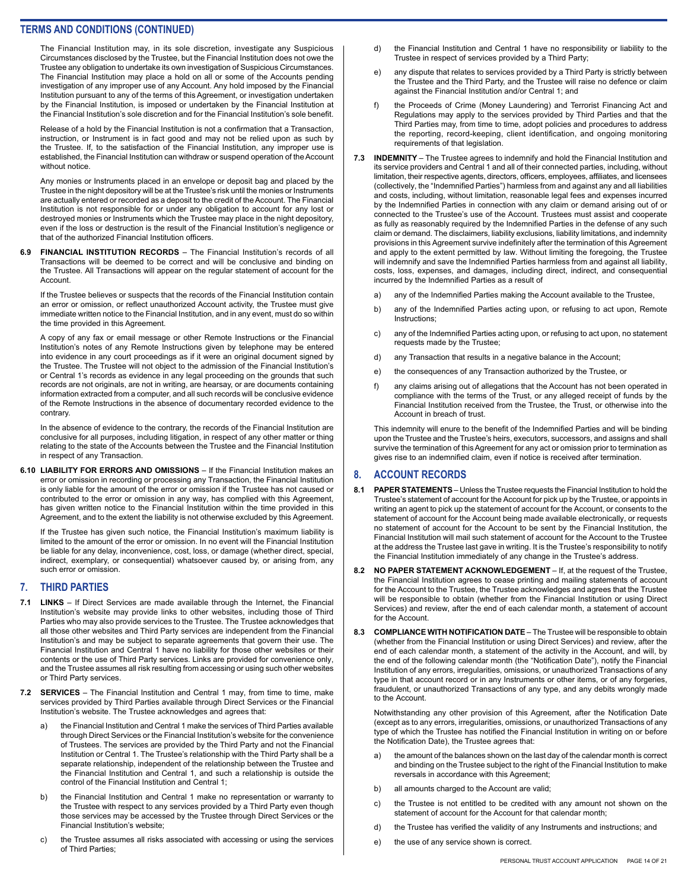The Financial Institution may, in its sole discretion, investigate any Suspicious Circumstances disclosed by the Trustee, but the Financial Institution does not owe the Trustee any obligation to undertake its own investigation of Suspicious Circumstances. The Financial Institution may place a hold on all or some of the Accounts pending investigation of any improper use of any Account. Any hold imposed by the Financial Institution pursuant to any of the terms of this Agreement, or investigation undertaken by the Financial Institution, is imposed or undertaken by the Financial Institution at the Financial Institution's sole discretion and for the Financial Institution's sole benefit.

Release of a hold by the Financial Institution is not a confirmation that a Transaction, instruction, or Instrument is in fact good and may not be relied upon as such by the Trustee. If, to the satisfaction of the Financial Institution, any improper use is established, the Financial Institution can withdraw or suspend operation of the Account without notice.

Any monies or Instruments placed in an envelope or deposit bag and placed by the Trustee in the night depository will be at the Trustee's risk until the monies or Instruments are actually entered or recorded as a deposit to the credit of the Account. The Financial Institution is not responsible for or under any obligation to account for any lost or destroyed monies or Instruments which the Trustee may place in the night depository, even if the loss or destruction is the result of the Financial Institution's negligence or that of the authorized Financial Institution officers.

**6.9 FINANCIAL INSTITUTION RECORDS** – The Financial Institution's records of all Transactions will be deemed to be correct and will be conclusive and binding on the Trustee. All Transactions will appear on the regular statement of account for the Account.

If the Trustee believes or suspects that the records of the Financial Institution contain an error or omission, or reflect unauthorized Account activity, the Trustee must give immediate written notice to the Financial Institution, and in any event, must do so within the time provided in this Agreement.

A copy of any fax or email message or other Remote Instructions or the Financial Institution's notes of any Remote Instructions given by telephone may be entered into evidence in any court proceedings as if it were an original document signed by the Trustee. The Trustee will not object to the admission of the Financial Institution's or Central 1's records as evidence in any legal proceeding on the grounds that such records are not originals, are not in writing, are hearsay, or are documents containing information extracted from a computer, and all such records will be conclusive evidence of the Remote Instructions in the absence of documentary recorded evidence to the contrary.

In the absence of evidence to the contrary, the records of the Financial Institution are conclusive for all purposes, including litigation, in respect of any other matter or thing relating to the state of the Accounts between the Trustee and the Financial Institution in respect of any Transaction.

**6.10 LIABILITY FOR ERRORS AND OMISSIONS** – If the Financial Institution makes an error or omission in recording or processing any Transaction, the Financial Institution is only liable for the amount of the error or omission if the Trustee has not caused or contributed to the error or omission in any way, has complied with this Agreement, has given written notice to the Financial Institution within the time provided in this Agreement, and to the extent the liability is not otherwise excluded by this Agreement.

If the Trustee has given such notice, the Financial Institution's maximum liability is limited to the amount of the error or omission. In no event will the Financial Institution be liable for any delay, inconvenience, cost, loss, or damage (whether direct, special, indirect, exemplary, or consequential) whatsoever caused by, or arising from, any such error or omission.

#### **7. THIRD PARTIES**

- **7.1 LINKS**  If Direct Services are made available through the Internet, the Financial Institution's website may provide links to other websites, including those of Third Parties who may also provide services to the Trustee. The Trustee acknowledges that all those other websites and Third Party services are independent from the Financial Institution's and may be subject to separate agreements that govern their use. The Financial Institution and Central 1 have no liability for those other websites or their contents or the use of Third Party services. Links are provided for convenience only, and the Trustee assumes all risk resulting from accessing or using such other websites or Third Party services.
- **7.2 SERVICES**  The Financial Institution and Central 1 may, from time to time, make services provided by Third Parties available through Direct Services or the Financial Institution's website. The Trustee acknowledges and agrees that:
	- a) the Financial Institution and Central 1 make the services of Third Parties available through Direct Services or the Financial Institution's website for the convenience of Trustees. The services are provided by the Third Party and not the Financial Institution or Central 1. The Trustee's relationship with the Third Party shall be a separate relationship, independent of the relationship between the Trustee and the Financial Institution and Central 1, and such a relationship is outside the control of the Financial Institution and Central 1;
	- b) the Financial Institution and Central 1 make no representation or warranty to the Trustee with respect to any services provided by a Third Party even though those services may be accessed by the Trustee through Direct Services or the Financial Institution's website;
	- c) the Trustee assumes all risks associated with accessing or using the services of Third Parties;
- d) the Financial Institution and Central 1 have no responsibility or liability to the Trustee in respect of services provided by a Third Party;
- e) any dispute that relates to services provided by a Third Party is strictly between the Trustee and the Third Party, and the Trustee will raise no defence or claim against the Financial Institution and/or Central 1; and
- f) the Proceeds of Crime (Money Laundering) and Terrorist Financing Act and Regulations may apply to the services provided by Third Parties and that the Third Parties may, from time to time, adopt policies and procedures to address the reporting, record-keeping, client identification, and ongoing monitoring requirements of that legislation.
- **7.3 INDEMNITY** The Trustee agrees to indemnify and hold the Financial Institution and its service providers and Central 1 and all of their connected parties, including, without limitation, their respective agents, directors, officers, employees, affiliates, and licensees (collectively, the "Indemnified Parties") harmless from and against any and all liabilities and costs, including, without limitation, reasonable legal fees and expenses incurred by the Indemnified Parties in connection with any claim or demand arising out of or connected to the Trustee's use of the Account. Trustees must assist and cooperate as fully as reasonably required by the Indemnified Parties in the defense of any such claim or demand. The disclaimers, liability exclusions, liability limitations, and indemnity provisions in this Agreement survive indefinitely after the termination of this Agreement and apply to the extent permitted by law. Without limiting the foregoing, the Trustee will indemnify and save the Indemnified Parties harmless from and against all liability, costs, loss, expenses, and damages, including direct, indirect, and consequential incurred by the Indemnified Parties as a result of
	- a) any of the Indemnified Parties making the Account available to the Trustee,
	- b) any of the Indemnified Parties acting upon, or refusing to act upon, Remote Instructions;
	- c) any of the Indemnified Parties acting upon, or refusing to act upon, no statement requests made by the Trustee;
	- d) any Transaction that results in a negative balance in the Account;
	- e) the consequences of any Transaction authorized by the Trustee, or
	- f) any claims arising out of allegations that the Account has not been operated in compliance with the terms of the Trust, or any alleged receipt of funds by the Financial Institution received from the Trustee, the Trust, or otherwise into the Account in breach of trust.

This indemnity will enure to the benefit of the Indemnified Parties and will be binding upon the Trustee and the Trustee's heirs, executors, successors, and assigns and shall survive the termination of this Agreement for any act or omission prior to termination as gives rise to an indemnified claim, even if notice is received after termination.

# **8. ACCOUNT RECORDS**

- **8.1 PAPER STATEMENTS**  Unless the Trustee requests the Financial Institution to hold the Trustee's statement of account for the Account for pick up by the Trustee, or appoints in writing an agent to pick up the statement of account for the Account, or consents to the statement of account for the Account being made available electronically, or requests no statement of account for the Account to be sent by the Financial Institution, the Financial Institution will mail such statement of account for the Account to the Trustee at the address the Trustee last gave in writing. It is the Trustee's responsibility to notify the Financial Institution immediately of any change in the Trustee's address.
- **8.2 NO PAPER STATEMENT ACKNOWLEDGEMENT** If, at the request of the Trustee, the Financial Institution agrees to cease printing and mailing statements of account for the Account to the Trustee, the Trustee acknowledges and agrees that the Trustee will be responsible to obtain (whether from the Financial Institution or using Direct Services) and review, after the end of each calendar month, a statement of account for the Account.
- **8.3 COMPLIANCE WITH NOTIFICATION DATE** The Trustee will be responsible to obtain (whether from the Financial Institution or using Direct Services) and review, after the end of each calendar month, a statement of the activity in the Account, and will, by the end of the following calendar month (the "Notification Date"), notify the Financial Institution of any errors, irregularities, omissions, or unauthorized Transactions of any type in that account record or in any Instruments or other items, or of any forgeries, fraudulent, or unauthorized Transactions of any type, and any debits wrongly made to the Account.

Notwithstanding any other provision of this Agreement, after the Notification Date (except as to any errors, irregularities, omissions, or unauthorized Transactions of any type of which the Trustee has notified the Financial Institution in writing on or before the Notification Date), the Trustee agrees that:

- a) the amount of the balances shown on the last day of the calendar month is correct and binding on the Trustee subject to the right of the Financial Institution to make reversals in accordance with this Agreement;
- b) all amounts charged to the Account are valid;
- c) the Trustee is not entitled to be credited with any amount not shown on the statement of account for the Account for that calendar month;
- d) the Trustee has verified the validity of any Instruments and instructions; and
- e) the use of any service shown is correct.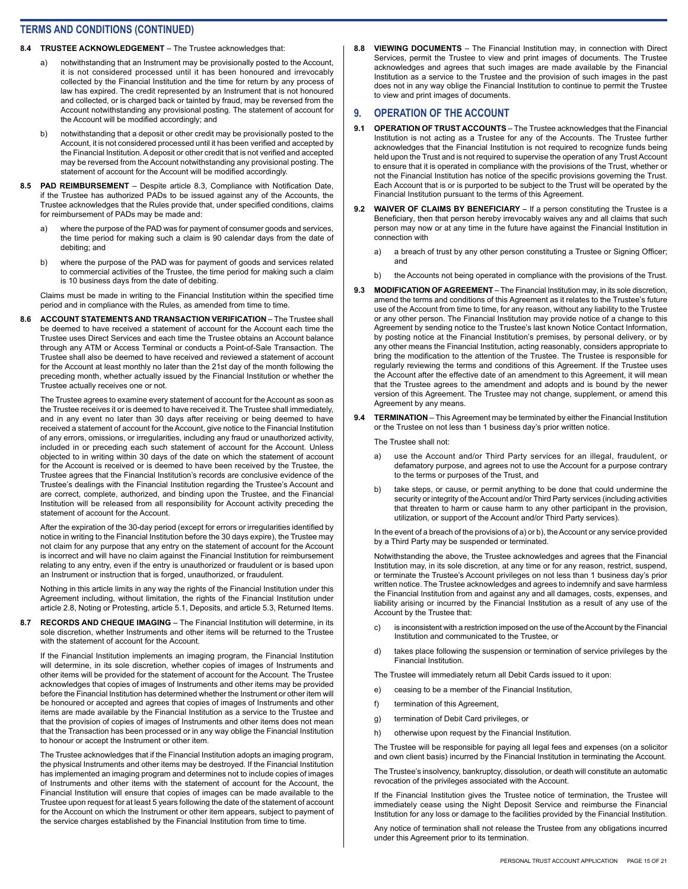#### **8.4 TRUSTEE ACKNOWLEDGEMENT** – The Trustee acknowledges that:

- a) notwithstanding that an Instrument may be provisionally posted to the Account, it is not considered processed until it has been honoured and irrevocably collected by the Financial Institution and the time for return by any process of law has expired. The credit represented by an Instrument that is not honoured and collected, or is charged back or tainted by fraud, may be reversed from the Account notwithstanding any provisional posting. The statement of account for the Account will be modified accordingly; and
- b) notwithstanding that a deposit or other credit may be provisionally posted to the Account, it is not considered processed until it has been verified and accepted by the Financial Institution. A deposit or other credit that is not verified and accepted may be reversed from the Account notwithstanding any provisional posting. The statement of account for the Account will be modified accordingly.
- **8.5 PAD REIMBURSEMENT** Despite article 8.3, Compliance with Notification Date, if the Trustee has authorized PADs to be issued against any of the Accounts, the Trustee acknowledges that the Rules provide that, under specified conditions, claims for reimbursement of PADs may be made and:
	- a) where the purpose of the PAD was for payment of consumer goods and services, the time period for making such a claim is 90 calendar days from the date of debiting; and
	- b) where the purpose of the PAD was for payment of goods and services related to commercial activities of the Trustee, the time period for making such a claim is 10 business days from the date of debiting.

Claims must be made in writing to the Financial Institution within the specified time period and in compliance with the Rules, as amended from time to time.

**8.6 ACCOUNT STATEMENTS AND TRANSACTION VERIFICATION** – The Trustee shall be deemed to have received a statement of account for the Account each time the Trustee uses Direct Services and each time the Trustee obtains an Account balance through any ATM or Access Terminal or conducts a Point-of-Sale Transaction. The Trustee shall also be deemed to have received and reviewed a statement of account for the Account at least monthly no later than the 21st day of the month following the preceding month, whether actually issued by the Financial Institution or whether the Trustee actually receives one or not.

The Trustee agrees to examine every statement of account for the Account as soon as the Trustee receives it or is deemed to have received it. The Trustee shall immediately, and in any event no later than 30 days after receiving or being deemed to have received a statement of account for the Account, give notice to the Financial Institution of any errors, omissions, or irregularities, including any fraud or unauthorized activity, included in or preceding each such statement of account for the Account. Unless objected to in writing within 30 days of the date on which the statement of account for the Account is received or is deemed to have been received by the Trustee, the Trustee agrees that the Financial Institution's records are conclusive evidence of the Trustee's dealings with the Financial Institution regarding the Trustee's Account and are correct, complete, authorized, and binding upon the Trustee, and the Financial Institution will be released from all responsibility for Account activity preceding the statement of account for the Account.

After the expiration of the 30-day period (except for errors or irregularities identified by notice in writing to the Financial Institution before the 30 days expire), the Trustee may not claim for any purpose that any entry on the statement of account for the Account is incorrect and will have no claim against the Financial Institution for reimbursement relating to any entry, even if the entry is unauthorized or fraudulent or is based upon an Instrument or instruction that is forged, unauthorized, or fraudulent.

Nothing in this article limits in any way the rights of the Financial Institution under this Agreement including, without limitation, the rights of the Financial Institution under article 2.8, Noting or Protesting, article 5.1, Deposits, and article 5.3, Returned Items.

**8.7 RECORDS AND CHEQUE IMAGING** – The Financial Institution will determine, in its sole discretion, whether Instruments and other items will be returned to the Trustee with the statement of account for the Account.

If the Financial Institution implements an imaging program, the Financial Institution will determine, in its sole discretion, whether copies of images of Instruments and other items will be provided for the statement of account for the Account. The Trustee acknowledges that copies of images of Instruments and other items may be provided before the Financial Institution has determined whether the Instrument or other item will be honoured or accepted and agrees that copies of images of Instruments and other items are made available by the Financial Institution as a service to the Trustee and that the provision of copies of images of Instruments and other items does not mean that the Transaction has been processed or in any way oblige the Financial Institution to honour or accept the Instrument or other item.

The Trustee acknowledges that if the Financial Institution adopts an imaging program, the physical Instruments and other items may be destroyed. If the Financial Institution has implemented an imaging program and determines not to include copies of images of Instruments and other items with the statement of account for the Account, the Financial Institution will ensure that copies of images can be made available to the Trustee upon request for at least 5 years following the date of the statement of account for the Account on which the Instrument or other item appears, subject to payment of the service charges established by the Financial Institution from time to time.

**8.8 VIEWING DOCUMENTS** – The Financial Institution may, in connection with Direct Services, permit the Trustee to view and print images of documents. The Trustee acknowledges and agrees that such images are made available by the Financial Institution as a service to the Trustee and the provision of such images in the past does not in any way oblige the Financial Institution to continue to permit the Trustee to view and print images of documents.

#### **9. OPERATION OF THE ACCOUNT**

- **9.1 OPERATION OF TRUST ACCOUNTS**  The Trustee acknowledges that the Financial Institution is not acting as a Trustee for any of the Accounts. The Trustee further acknowledges that the Financial Institution is not required to recognize funds being held upon the Trust and is not required to supervise the operation of any Trust Account to ensure that it is operated in compliance with the provisions of the Trust, whether or not the Financial Institution has notice of the specific provisions governing the Trust. Each Account that is or is purported to be subject to the Trust will be operated by the Financial Institution pursuant to the terms of this Agreement.
- **9.2 WAIVER OF CLAIMS BY BENEFICIARY** If a person constituting the Trustee is a Beneficiary, then that person hereby irrevocably waives any and all claims that such person may now or at any time in the future have against the Financial Institution in connection with
	- a) a breach of trust by any other person constituting a Trustee or Signing Officer; and
	- b) the Accounts not being operated in compliance with the provisions of the Trust.
- 9.3 **MODIFICATION OF AGREEMENT** The Financial Institution may, in its sole discretion, amend the terms and conditions of this Agreement as it relates to the Trustee's future use of the Account from time to time, for any reason, without any liability to the Trustee or any other person. The Financial Institution may provide notice of a change to this Agreement by sending notice to the Trustee's last known Notice Contact Information, by posting notice at the Financial Institution's premises, by personal delivery, or by any other means the Financial Institution, acting reasonably, considers appropriate to bring the modification to the attention of the Trustee. The Trustee is responsible for regularly reviewing the terms and conditions of this Agreement. If the Trustee uses the Account after the effective date of an amendment to this Agreement, it will mean that the Trustee agrees to the amendment and adopts and is bound by the newer version of this Agreement. The Trustee may not change, supplement, or amend this Agreement by any means.
- **9.4 TERMINATION** This Agreement may be terminated by either the Financial Institution or the Trustee on not less than 1 business day's prior written notice.

#### The Trustee shall not:

- a) use the Account and/or Third Party services for an illegal, fraudulent, or defamatory purpose, and agrees not to use the Account for a purpose contrary to the terms or purposes of the Trust, and
- b) take steps, or cause, or permit anything to be done that could undermine the security or integrity of the Account and/or Third Party services (including activities that threaten to harm or cause harm to any other participant in the provision, utilization, or support of the Account and/or Third Party services).

In the event of a breach of the provisions of a) or b), the Account or any service provided by a Third Party may be suspended or terminated.

Notwithstanding the above, the Trustee acknowledges and agrees that the Financial Institution may, in its sole discretion, at any time or for any reason, restrict, suspend, or terminate the Trustee's Account privileges on not less than 1 business day's prior written notice. The Trustee acknowledges and agrees to indemnify and save harmless the Financial Institution from and against any and all damages, costs, expenses, and liability arising or incurred by the Financial Institution as a result of any use of the Account by the Trustee that:

- c) is inconsistent with a restriction imposed on the use of the Account by the Financial Institution and communicated to the Trustee, or
- d) takes place following the suspension or termination of service privileges by the Financial Institution.

The Trustee will immediately return all Debit Cards issued to it upon:

- e) ceasing to be a member of the Financial Institution,
- f) termination of this Agreement,
- g) termination of Debit Card privileges, or
- h) otherwise upon request by the Financial Institution.

The Trustee will be responsible for paying all legal fees and expenses (on a solicitor and own client basis) incurred by the Financial Institution in terminating the Account.

The Trustee's insolvency, bankruptcy, dissolution, or death will constitute an automatic revocation of the privileges associated with the Account.

If the Financial Institution gives the Trustee notice of termination, the Trustee will immediately cease using the Night Deposit Service and reimburse the Financial Institution for any loss or damage to the facilities provided by the Financial Institution.

Any notice of termination shall not release the Trustee from any obligations incurred under this Agreement prior to its termination.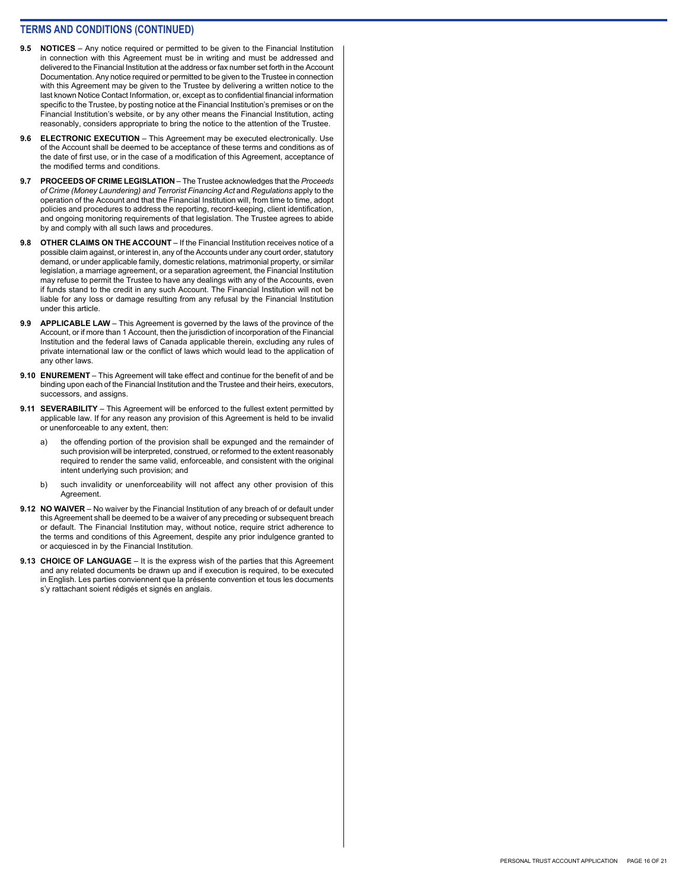- **9.5 NOTICES** Any notice required or permitted to be given to the Financial Institution in connection with this Agreement must be in writing and must be addressed and delivered to the Financial Institution at the address or fax number set forth in the Account Documentation. Any notice required or permitted to be given to the Trustee in connection with this Agreement may be given to the Trustee by delivering a written notice to the last known Notice Contact Information, or, except as to confidential financial information specific to the Trustee, by posting notice at the Financial Institution's premises or on the Financial Institution's website, or by any other means the Financial Institution, acting reasonably, considers appropriate to bring the notice to the attention of the Trustee.
- **9.6 ELECTRONIC EXECUTION** This Agreement may be executed electronically. Use of the Account shall be deemed to be acceptance of these terms and conditions as of the date of first use, or in the case of a modification of this Agreement, acceptance of the modified terms and conditions.
- **9.7 PROCEEDS OF CRIME LEGISLATION** The Trustee acknowledges that the *Proceeds of Crime (Money Laundering) and Terrorist Financing Act* and *Regulations* apply to the operation of the Account and that the Financial Institution will, from time to time, adopt policies and procedures to address the reporting, record-keeping, client identification, and ongoing monitoring requirements of that legislation. The Trustee agrees to abide by and comply with all such laws and procedures.
- **9.8 OTHER CLAIMS ON THE ACCOUNT** If the Financial Institution receives notice of a possible claim against, or interest in, any of the Accounts under any court order, statutory demand, or under applicable family, domestic relations, matrimonial property, or similar legislation, a marriage agreement, or a separation agreement, the Financial Institution may refuse to permit the Trustee to have any dealings with any of the Accounts, even if funds stand to the credit in any such Account. The Financial Institution will not be liable for any loss or damage resulting from any refusal by the Financial Institution under this article.
- **9.9 APPLICABLE LAW** This Agreement is governed by the laws of the province of the Account, or if more than 1 Account, then the jurisdiction of incorporation of the Financial Institution and the federal laws of Canada applicable therein, excluding any rules of private international law or the conflict of laws which would lead to the application of any other laws.
- **9.10 ENUREMENT** This Agreement will take effect and continue for the benefit of and be binding upon each of the Financial Institution and the Trustee and their heirs, executors, successors, and assigns.
- **9.11 SEVERABILITY** This Agreement will be enforced to the fullest extent permitted by applicable law. If for any reason any provision of this Agreement is held to be invalid or unenforceable to any extent, then:
	- a) the offending portion of the provision shall be expunged and the remainder of such provision will be interpreted, construed, or reformed to the extent reasonably required to render the same valid, enforceable, and consistent with the original intent underlying such provision; and
	- b) such invalidity or unenforceability will not affect any other provision of this Agreement.
- **9.12 NO WAIVER** No waiver by the Financial Institution of any breach of or default under this Agreement shall be deemed to be a waiver of any preceding or subsequent breach or default. The Financial Institution may, without notice, require strict adherence to the terms and conditions of this Agreement, despite any prior indulgence granted to or acquiesced in by the Financial Institution.
- **9.13 CHOICE OF LANGUAGE** It is the express wish of the parties that this Agreement and any related documents be drawn up and if execution is required, to be executed in English. Les parties conviennent que la présente convention et tous les documents s'y rattachant soient rédigés et signés en anglais.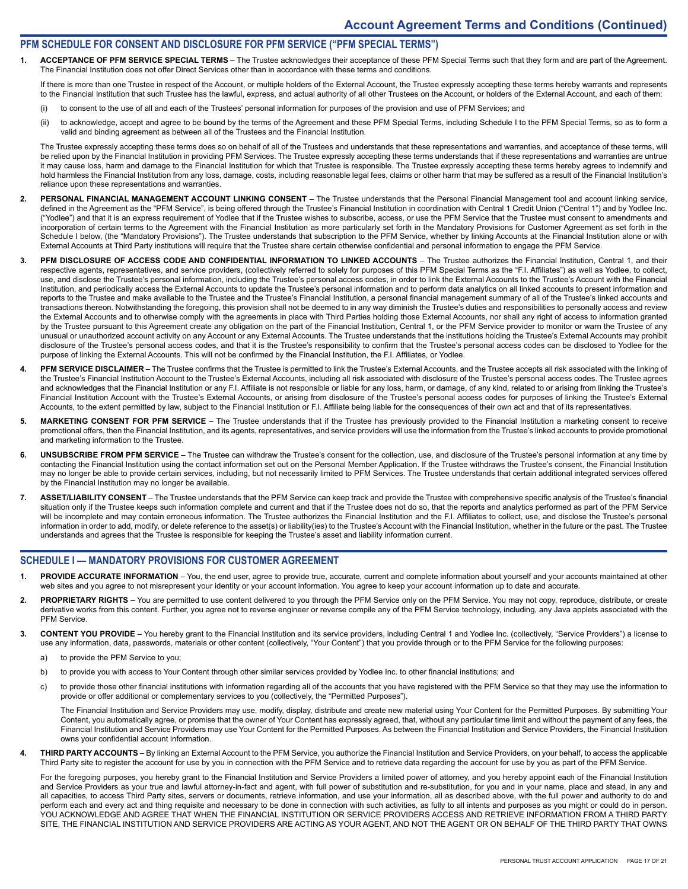#### **PFM SCHEDULE FOR CONSENT AND DISCLOSURE FOR PFM SERVICE ("PFM SPECIAL TERMS")**

**1. ACCEPTANCE OF PFM SERVICE SPECIAL TERMS** – The Trustee acknowledges their acceptance of these PFM Special Terms such that they form and are part of the Agreement. The Financial Institution does not offer Direct Services other than in accordance with these terms and conditions.

If there is more than one Trustee in respect of the Account, or multiple holders of the External Account, the Trustee expressly accepting these terms hereby warrants and represents to the Financial Institution that such Trustee has the lawful, express, and actual authority of all other Trustees on the Account, or holders of the External Account, and each of them:

- (i) to consent to the use of all and each of the Trustees' personal information for purposes of the provision and use of PFM Services; and
- (ii) to acknowledge, accept and agree to be bound by the terms of the Agreement and these PFM Special Terms, including Schedule I to the PFM Special Terms, so as to form a valid and binding agreement as between all of the Trustees and the Financial Institution.

The Trustee expressly accepting these terms does so on behalf of all of the Trustees and understands that these representations and warranties, and acceptance of these terms, will be relied upon by the Financial Institution in providing PFM Services. The Trustee expressly accepting these terms understands that if these representations and warranties are untrue it may cause loss, harm and damage to the Financial Institution for which that Trustee is responsible. The Trustee expressly accepting these terms hereby agrees to indemnify and hold harmless the Financial Institution from any loss, damage, costs, including reasonable legal fees, claims or other harm that may be suffered as a result of the Financial Institution's reliance upon these representations and warranties.

- 2. PERSONAL FINANCIAL MANAGEMENT ACCOUNT LINKING CONSENT The Trustee understands that the Personal Financial Management tool and account linking service, defined in the Agreement as the "PFM Service", is being offered through the Trustee's Financial Institution in coordination with Central 1 Credit Union ("Central 1") and by Yodlee Inc. ("Yodlee") and that it is an express requirement of Yodlee that if the Trustee wishes to subscribe, access, or use the PFM Service that the Trustee must consent to amendments and incorporation of certain terms to the Agreement with the Financial Institution as more particularly set forth in the Mandatory Provisions for Customer Agreement as set forth in the Schedule I below, (the "Mandatory Provisions"). The Trustee understands that subscription to the PFM Service, whether by linking Accounts at the Financial Institution alone or with External Accounts at Third Party institutions will require that the Trustee share certain otherwise confidential and personal information to engage the PFM Service.
- 3. PFM DISCLOSURE OF ACCESS CODE AND CONFIDENTIAL INFORMATION TO LINKED ACCOUNTS The Trustee authorizes the Financial Institution, Central 1, and their respective agents, representatives, and service providers, (collectively referred to solely for purposes of this PFM Special Terms as the "F.I. Affiliates") as well as Yodlee, to collect, use, and disclose the Trustee's personal information, including the Trustee's personal access codes, in order to link the External Accounts to the Trustee's Account with the Financial Institution, and periodically access the External Accounts to update the Trustee's personal information and to perform data analytics on all linked accounts to present information and reports to the Trustee and make available to the Trustee and the Trustee's Financial Institution, a personal financial management summary of all of the Trustee's linked accounts and transactions thereon. Notwithstanding the foregoing, this provision shall not be deemed to in any way diminish the Trustee's duties and responsibilities to personally access and review the External Accounts and to otherwise comply with the agreements in place with Third Parties holding those External Accounts, nor shall any right of access to information granted by the Trustee pursuant to this Agreement create any obligation on the part of the Financial Institution, Central 1, or the PFM Service provider to monitor or warn the Trustee of any unusual or unauthorized account activity on any Account or any External Accounts. The Trustee understands that the institutions holding the Trustee's External Accounts may prohibit disclosure of the Trustee's personal access codes, and that it is the Trustee's responsibility to confirm that the Trustee's personal access codes can be disclosed to Yodlee for the purpose of linking the External Accounts. This will not be confirmed by the Financial Institution, the F.I. Affiliates, or Yodlee.
- PFM SERVICE DISCLAIMER The Trustee confirms that the Trustee is permitted to link the Trustee's External Accounts, and the Trustee accepts all risk associated with the linking of the Trustee's Financial Institution Account to the Trustee's External Accounts, including all risk associated with disclosure of the Trustee's personal access codes. The Trustee agrees and acknowledges that the Financial Institution or any F.I. Affiliate is not responsible or liable for any loss, harm, or damage, of any kind, related to or arising from linking the Trustee's Financial Institution Account with the Trustee's External Accounts, or arising from disclosure of the Trustee's personal access codes for purposes of linking the Trustee's External Accounts, to the extent permitted by law, subject to the Financial Institution or F.I. Affiliate being liable for the consequences of their own act and that of its representatives
- **5. MARKETING CONSENT FOR PFM SERVICE**  The Trustee understands that if the Trustee has previously provided to the Financial Institution a marketing consent to receive promotional offers, then the Financial Institution, and its agents, representatives, and service providers will use the information from the Trustee's linked accounts to provide promotional and marketing information to the Trustee.
- **6. UNSUBSCRIBE FROM PFM SERVICE**  The Trustee can withdraw the Trustee's consent for the collection, use, and disclosure of the Trustee's personal information at any time by contacting the Financial Institution using the contact information set out on the Personal Member Application. If the Trustee withdraws the Trustee's consent, the Financial Institution may no longer be able to provide certain services, including, but not necessarily limited to PFM Services. The Trustee understands that certain additional integrated services offered by the Financial Institution may no longer be available.
- 7. ASSET/LIABILITY CONSENT The Trustee understands that the PFM Service can keep track and provide the Trustee with comprehensive specific analysis of the Trustee's financial situation only if the Trustee keeps such information complete and current and that if the Trustee does not do so, that the reports and analytics performed as part of the PFM Service will be incomplete and may contain erroneous information. The Trustee authorizes the Financial Institution and the F.I. Affiliates to collect, use, and disclose the Trustee's personal information in order to add, modify, or delete reference to the asset(s) or liability(ies) to the Trustee's Account with the Financial Institution, whether in the future or the past. The Trustee understands and agrees that the Trustee is responsible for keeping the Trustee's asset and liability information current.

#### **SCHEDULE I — MANDATORY PROVISIONS FOR CUSTOMER AGREEMENT**

- PROVIDE ACCURATE INFORMATION You, the end user, agree to provide true, accurate, current and complete information about yourself and your accounts maintained at other web sites and you agree to not misrepresent your identity or your account information. You agree to keep your account information up to date and accurate.
- **2. PROPRIETARY RIGHTS** You are permitted to use content delivered to you through the PFM Service only on the PFM Service. You may not copy, reproduce, distribute, or create derivative works from this content. Further, you agree not to reverse engineer or reverse compile any of the PFM Service technology, including, any Java applets associated with the PFM Service.
- **3. CONTENT YOU PROVIDE** You hereby grant to the Financial Institution and its service providers, including Central 1 and Yodlee Inc. (collectively, "Service Providers") a license to use any information, data, passwords, materials or other content (collectively, "Your Content") that you provide through or to the PFM Service for the following purposes:
	- a) to provide the PFM Service to you;
	- b) to provide you with access to Your Content through other similar services provided by Yodlee Inc. to other financial institutions; and
	- c) to provide those other financial institutions with information regarding all of the accounts that you have registered with the PFM Service so that they may use the information to provide or offer additional or complementary services to you (collectively, the "Permitted Purposes").

The Financial Institution and Service Providers may use, modify, display, distribute and create new material using Your Content for the Permitted Purposes. By submitting Your Content, you automatically agree, or promise that the owner of Your Content has expressly agreed, that, without any particular time limit and without the payment of any fees, the Financial Institution and Service Providers may use Your Content for the Permitted Purposes. As between the Financial Institution and Service Providers, the Financial Institution owns your confidential account information.

**4. THIRD PARTY ACCOUNTS** – By linking an External Account to the PFM Service, you authorize the Financial Institution and Service Providers, on your behalf, to access the applicable Third Party site to register the account for use by you in connection with the PFM Service and to retrieve data regarding the account for use by you as part of the PFM Service.

For the foregoing purposes, you hereby grant to the Financial Institution and Service Providers a limited power of attorney, and you hereby appoint each of the Financial Institution and Service Providers as your true and lawful attorney-in-fact and agent, with full power of substitution and re-substitution, for you and in your name, place and stead, in any and all capacities, to access Third Party sites, servers or documents, retrieve information, and use your information, all as described above, with the full power and authority to do and perform each and every act and thing requisite and necessary to be done in connection with such activities, as fully to all intents and purposes as you might or could do in person. YOU ACKNOWLEDGE AND AGREE THAT WHEN THE FINANCIAL INSTITUTION OR SERVICE PROVIDERS ACCESS AND RETRIEVE INFORMATION FROM A THIRD PARTY SITE, THE FINANCIAL INSTITUTION AND SERVICE PROVIDERS ARE ACTING AS YOUR AGENT, AND NOT THE AGENT OR ON BEHALF OF THE THIRD PARTY THAT OWNS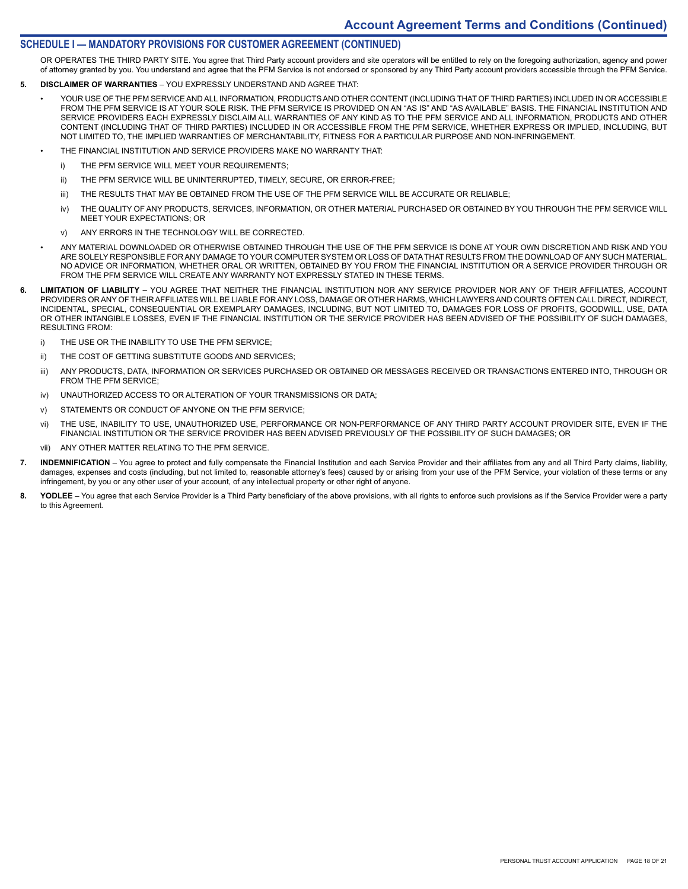#### **SCHEDULE I — MANDATORY PROVISIONS FOR CUSTOMER AGREEMENT (CONTINUED)**

OR OPERATES THE THIRD PARTY SITE. You agree that Third Party account providers and site operators will be entitled to rely on the foregoing authorization, agency and power of attorney granted by you. You understand and agree that the PFM Service is not endorsed or sponsored by any Third Party account providers accessible through the PFM Service.

- **5. DISCLAIMER OF WARRANTIES** YOU EXPRESSLY UNDERSTAND AND AGREE THAT:
	- YOUR USE OF THE PFM SERVICE AND ALL INFORMATION, PRODUCTS AND OTHER CONTENT (INCLUDING THAT OF THIRD PARTIES) INCLUDED IN OR ACCESSIBLE FROM THE PFM SERVICE IS AT YOUR SOLE RISK. THE PFM SERVICE IS PROVIDED ON AN "AS IS" AND "AS AVAILABLE" BASIS. THE FINANCIAL INSTITUTION AND SERVICE PROVIDERS EACH EXPRESSLY DISCLAIM ALL WARRANTIES OF ANY KIND AS TO THE PFM SERVICE AND ALL INFORMATION, PRODUCTS AND OTHER CONTENT (INCLUDING THAT OF THIRD PARTIES) INCLUDED IN OR ACCESSIBLE FROM THE PFM SERVICE, WHETHER EXPRESS OR IMPLIED, INCLUDING, BUT NOT LIMITED TO, THE IMPLIED WARRANTIES OF MERCHANTABILITY, FITNESS FOR A PARTICULAR PURPOSE AND NON-INFRINGEMENT.
	- THE FINANCIAL INSTITUTION AND SERVICE PROVIDERS MAKE NO WARRANTY THAT:
		- i) THE PFM SERVICE WILL MEET YOUR REQUIREMENTS;
		- ii) THE PFM SERVICE WILL BE UNINTERRUPTED, TIMELY, SECURE, OR ERROR-FREE;
		- iii) THE RESULTS THAT MAY BE OBTAINED FROM THE USE OF THE PFM SERVICE WILL BE ACCURATE OR RELIABLE;
		- iv) THE QUALITY OF ANY PRODUCTS, SERVICES, INFORMATION, OR OTHER MATERIAL PURCHASED OR OBTAINED BY YOU THROUGH THE PFM SERVICE WILL MEET YOUR EXPECTATIONS; OR
		- v) ANY ERRORS IN THE TECHNOLOGY WILL BE CORRECTED.
	- ANY MATERIAL DOWNLOADED OR OTHERWISE OBTAINED THROUGH THE USE OF THE PFM SERVICE IS DONE AT YOUR OWN DISCRETION AND RISK AND YOU ARE SOLELY RESPONSIBLE FOR ANY DAMAGE TO YOUR COMPUTER SYSTEM OR LOSS OF DATA THAT RESULTS FROM THE DOWNLOAD OF ANY SUCH MATERIAL. NO ADVICE OR INFORMATION, WHETHER ORAL OR WRITTEN, OBTAINED BY YOU FROM THE FINANCIAL INSTITUTION OR A SERVICE PROVIDER THROUGH OR FROM THE PFM SERVICE WILL CREATE ANY WARRANTY NOT EXPRESSLY STATED IN THESE TERMS.
- **6. LIMITATION OF LIABILITY** YOU AGREE THAT NEITHER THE FINANCIAL INSTITUTION NOR ANY SERVICE PROVIDER NOR ANY OF THEIR AFFILIATES, ACCOUNT PROVIDERS OR ANY OF THEIR AFFILIATES WILL BE LIABLE FOR ANY LOSS, DAMAGE OR OTHER HARMS, WHICH LAWYERS AND COURTS OFTEN CALL DIRECT, INDIRECT, INCIDENTAL, SPECIAL, CONSEQUENTIAL OR EXEMPLARY DAMAGES, INCLUDING, BUT NOT LIMITED TO, DAMAGES FOR LOSS OF PROFITS, GOODWILL, USE, DATA OR OTHER INTANGIBLE LOSSES, EVEN IF THE FINANCIAL INSTITUTION OR THE SERVICE PROVIDER HAS BEEN ADVISED OF THE POSSIBILITY OF SUCH DAMAGES, RESULTING FROM:
	- i) THE USE OR THE INABILITY TO USE THE PFM SERVICE;
	- ii) THE COST OF GETTING SUBSTITUTE GOODS AND SERVICES;
	- iii) ANY PRODUCTS, DATA, INFORMATION OR SERVICES PURCHASED OR OBTAINED OR MESSAGES RECEIVED OR TRANSACTIONS ENTERED INTO, THROUGH OR FROM THE PFM SERVICE;
	- iv) UNAUTHORIZED ACCESS TO OR ALTERATION OF YOUR TRANSMISSIONS OR DATA;
	- v) STATEMENTS OR CONDUCT OF ANYONE ON THE PFM SERVICE;
	- vi) THE USE, INABILITY TO USE, UNAUTHORIZED USE, PERFORMANCE OR NON-PERFORMANCE OF ANY THIRD PARTY ACCOUNT PROVIDER SITE, EVEN IF THE FINANCIAL INSTITUTION OR THE SERVICE PROVIDER HAS BEEN ADVISED PREVIOUSLY OF THE POSSIBILITY OF SUCH DAMAGES; OR
	- vii) ANY OTHER MATTER RELATING TO THE PFM SERVICE.
- **7. INDEMNIFICATION** You agree to protect and fully compensate the Financial Institution and each Service Provider and their affiliates from any and all Third Party claims, liability, damages, expenses and costs (including, but not limited to, reasonable attorney's fees) caused by or arising from your use of the PFM Service, your violation of these terms or any infringement, by you or any other user of your account, of any intellectual property or other right of anyone.
- **8. YODLEE** You agree that each Service Provider is a Third Party beneficiary of the above provisions, with all rights to enforce such provisions as if the Service Provider were a party to this Agreement.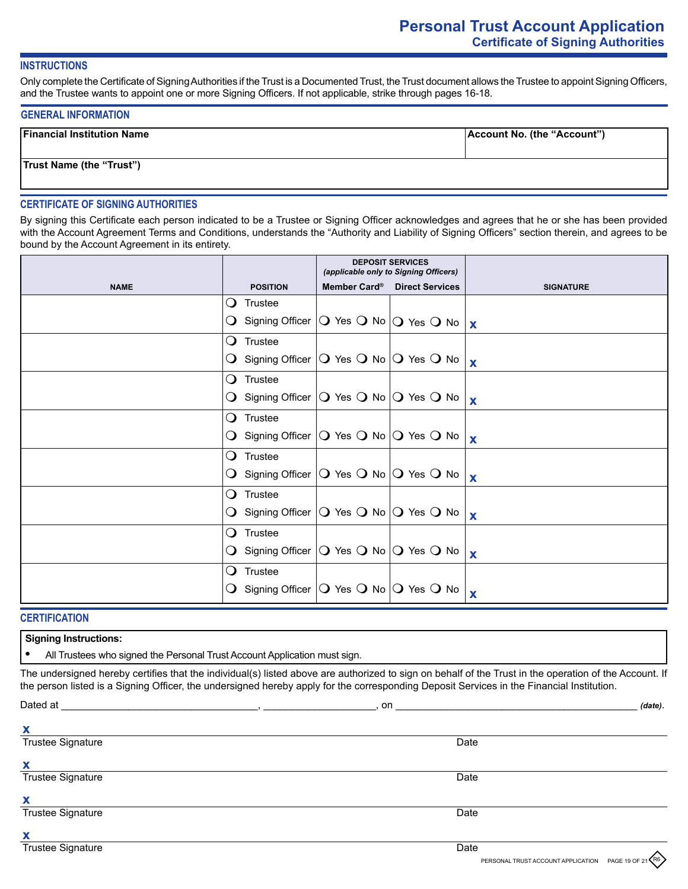# **INSTRUCTIONS**

Only complete the Certificate of Signing Authorities if the Trust is a Documented Trust, the Trust document allows the Trustee to appoint Signing Officers, and the Trustee wants to appoint one or more Signing Officers. If not applicable, strike through pages 16-18.

#### **GENERAL INFORMATION**

| <b>Financial Institution Name</b> | Account No. (the "Account") |
|-----------------------------------|-----------------------------|
| <b>Trust Name (the "Trust")</b>   |                             |

# **CERTIFICATE OF SIGNING AUTHORITIES**

By signing this Certificate each person indicated to be a Trustee or Signing Officer acknowledges and agrees that he or she has been provided with the Account Agreement Terms and Conditions, understands the "Authority and Liability of Signing Officers" section therein, and agrees to be bound by the Account Agreement in its entirety.

|             |        |                    | <b>DEPOSIT SERVICES</b><br>(applicable only to Signing Officers)                                |                  |
|-------------|--------|--------------------|-------------------------------------------------------------------------------------------------|------------------|
| <b>NAME</b> |        | <b>POSITION</b>    | Member Card <sup>®</sup> Direct Services                                                        | <b>SIGNATURE</b> |
|             | $\cup$ | Trustee            |                                                                                                 |                  |
|             |        |                    | O Signing Officer $ O \text{ Yes } O \text{ No }  O \text{ Yes } O \text{ No }   \textbf{x}$    |                  |
|             |        | $\bigcirc$ Trustee |                                                                                                 |                  |
|             |        |                    | $\bigcirc$ Signing Officer $\bigcirc$ Yes $\bigcirc$ No $\bigcirc$ Yes $\bigcirc$ No $\bigcirc$ | $\mathbf x$      |
|             | $\cup$ | Trustee            |                                                                                                 |                  |
|             |        |                    | $\bigcirc$ Signing Officer $\bigcirc$ Yes $\bigcirc$ No $\bigcirc$ Yes $\bigcirc$ No $\bigcirc$ | $\mathbf x$      |
|             |        | <b>O</b> Trustee   |                                                                                                 |                  |
|             |        |                    | $\bigcirc$ Signing Officer $\bigcirc$ Yes $\bigcirc$ No $\bigcirc$ Yes $\bigcirc$ No $\bigcirc$ | $\mathbf x$      |
|             |        | $\bigcirc$ Trustee |                                                                                                 |                  |
|             |        |                    | $\bigcirc$ Signing Officer $\bigcirc$ Yes $\bigcirc$ No $\bigcirc$ Yes $\bigcirc$ No $\bigcirc$ | $\mathbf x$      |
|             |        | $\bigcirc$ Trustee |                                                                                                 |                  |
|             |        |                    | $\bigcirc$ Signing Officer $\bigcirc$ Yes $\bigcirc$ No $\bigcirc$ Yes $\bigcirc$ No $\bigcirc$ | $\mathbf x$      |
|             | $\cup$ | Trustee            |                                                                                                 |                  |
|             |        |                    | $\bigcirc$ Signing Officer $\bigcirc$ Yes $\bigcirc$ No $\bigcirc$ Yes $\bigcirc$ No $\bigcirc$ | $\mathbf x$      |
|             |        | $\bigcirc$ Trustee |                                                                                                 |                  |
|             |        |                    | $\bigcirc$ Signing Officer $\bigcirc$ Yes $\bigcirc$ No $\bigcirc$ Yes $\bigcirc$ No            | $\mathbf x$      |

# **CERTIFICATION**

**Signing Instructions:**

**•** All Trustees who signed the Personal Trust Account Application must sign.

The undersigned hereby certifies that the individual(s) listed above are authorized to sign on behalf of the Trust in the operation of the Account. If the person listed is a Signing Officer, the undersigned hereby apply for the corresponding Deposit Services in the Financial Institution.

| Dated at                 | on   | (date). |
|--------------------------|------|---------|
| X                        |      |         |
| <b>Trustee Signature</b> | Date |         |
| X                        |      |         |
| <b>Trustee Signature</b> | Date |         |
| $\mathbf x$              |      |         |
| <b>Trustee Signature</b> | Date |         |
| X                        |      |         |
|                          |      |         |

R6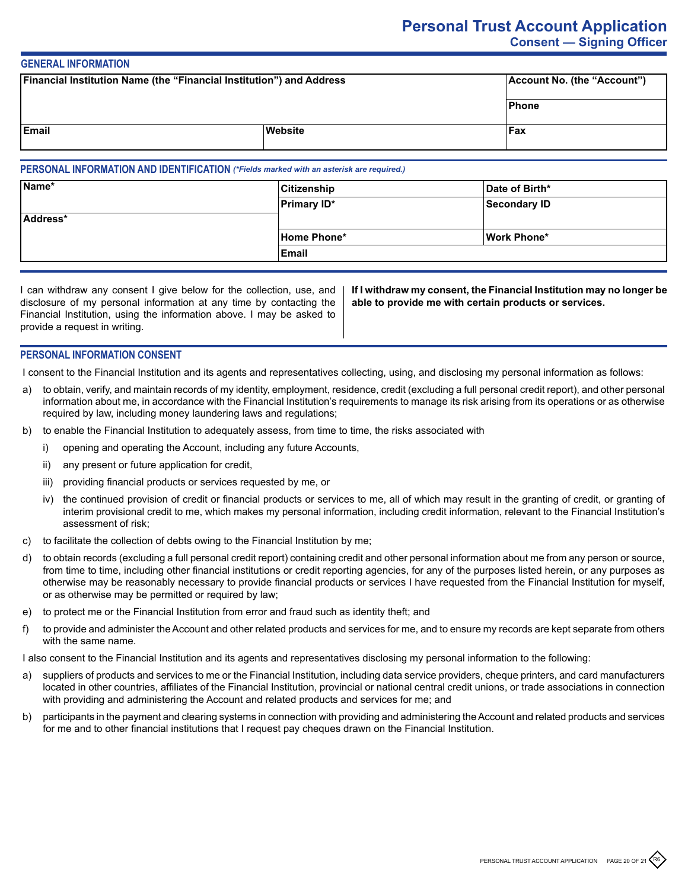# **Personal Trust Account Application Consent — Signing Officer**

# **GENERAL INFORMATION**

| Financial Institution Name (the "Financial Institution") and Address |         | Account No. (the "Account") |
|----------------------------------------------------------------------|---------|-----------------------------|
|                                                                      |         | Phone                       |
| <b>Email</b>                                                         | Website | Fax                         |

#### **PERSONAL INFORMATION AND IDENTIFICATION** *(\*Fields marked with an asterisk are required.)*

| Name*    | <b>Citizenship</b> | Date of Birth* |
|----------|--------------------|----------------|
|          | <b>Primary ID*</b> | Secondary ID   |
| Address* |                    |                |
|          | Home Phone*        | Work Phone*    |
|          | ∣Email             |                |

| I can withdraw any consent I give below for the collection, use, and   If |    |
|---------------------------------------------------------------------------|----|
| disclosure of my personal information at any time by contacting the       | ab |
| Financial Institution, using the information above. I may be asked to     |    |
| provide a request in writing.                                             |    |
|                                                                           |    |

**If I withdraw my consent, the Financial Institution may no longer be able to provide me with certain products or services.**

# **PERSONAL INFORMATION CONSENT**

I consent to the Financial Institution and its agents and representatives collecting, using, and disclosing my personal information as follows:

- a) to obtain, verify, and maintain records of my identity, employment, residence, credit (excluding a full personal credit report), and other personal information about me, in accordance with the Financial Institution's requirements to manage its risk arising from its operations or as otherwise required by law, including money laundering laws and regulations;
- b) to enable the Financial Institution to adequately assess, from time to time, the risks associated with
	- i) opening and operating the Account, including any future Accounts,
	- ii) any present or future application for credit,
	- iii) providing financial products or services requested by me, or
	- iv) the continued provision of credit or financial products or services to me, all of which may result in the granting of credit, or granting of interim provisional credit to me, which makes my personal information, including credit information, relevant to the Financial Institution's assessment of risk;
- c) to facilitate the collection of debts owing to the Financial Institution by me;
- d) to obtain records (excluding a full personal credit report) containing credit and other personal information about me from any person or source, from time to time, including other financial institutions or credit reporting agencies, for any of the purposes listed herein, or any purposes as otherwise may be reasonably necessary to provide financial products or services I have requested from the Financial Institution for myself, or as otherwise may be permitted or required by law;
- e) to protect me or the Financial Institution from error and fraud such as identity theft; and
- f) to provide and administer the Account and other related products and services for me, and to ensure my records are kept separate from others with the same name.

I also consent to the Financial Institution and its agents and representatives disclosing my personal information to the following:

- a) suppliers of products and services to me or the Financial Institution, including data service providers, cheque printers, and card manufacturers located in other countries, affiliates of the Financial Institution, provincial or national central credit unions, or trade associations in connection with providing and administering the Account and related products and services for me; and
- b) participants in the payment and clearing systems in connection with providing and administering the Account and related products and services for me and to other financial institutions that I request pay cheques drawn on the Financial Institution.